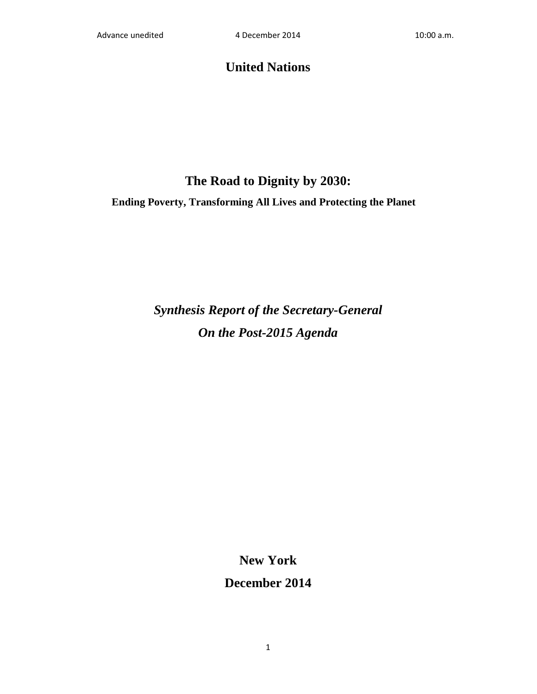# **United Nations**

# **The Road to Dignity by 2030:**

**Ending Poverty, Transforming All Lives and Protecting the Planet** 

*Synthesis Report of the Secretary-General On the Post-2015 Agenda* 

**New York** 

**December 2014**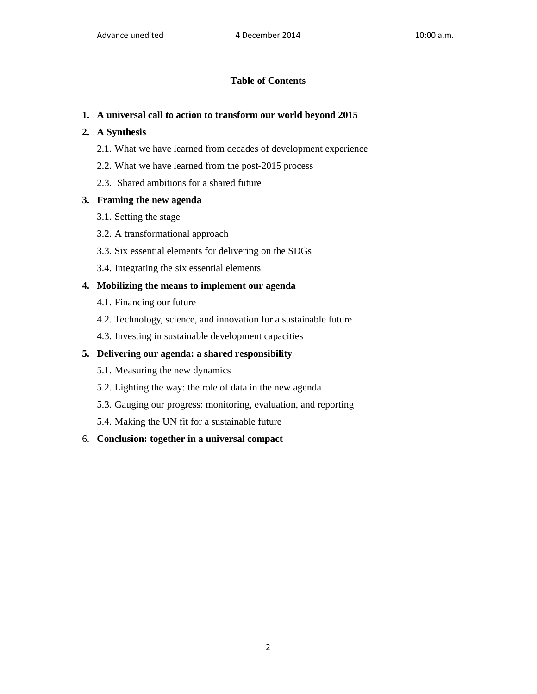# **Table of Contents**

# **1. A universal call to action to transform our world beyond 2015**

# **2. A Synthesis**

- 2.1. What we have learned from decades of development experience
- 2.2. What we have learned from the post-2015 process
- 2.3. Shared ambitions for a shared future

# **3. Framing the new agenda**

- 3.1. Setting the stage
- 3.2. A transformational approach
- 3.3. Six essential elements for delivering on the SDGs
- 3.4. Integrating the six essential elements

# **4. Mobilizing the means to implement our agenda**

- 4.1. Financing our future
- 4.2. Technology, science, and innovation for a sustainable future
- 4.3. Investing in sustainable development capacities

# **5. Delivering our agenda: a shared responsibility**

- 5.1. Measuring the new dynamics
- 5.2. Lighting the way: the role of data in the new agenda
- 5.3. Gauging our progress: monitoring, evaluation, and reporting
- 5.4. Making the UN fit for a sustainable future

# 6. **Conclusion: together in a universal compact**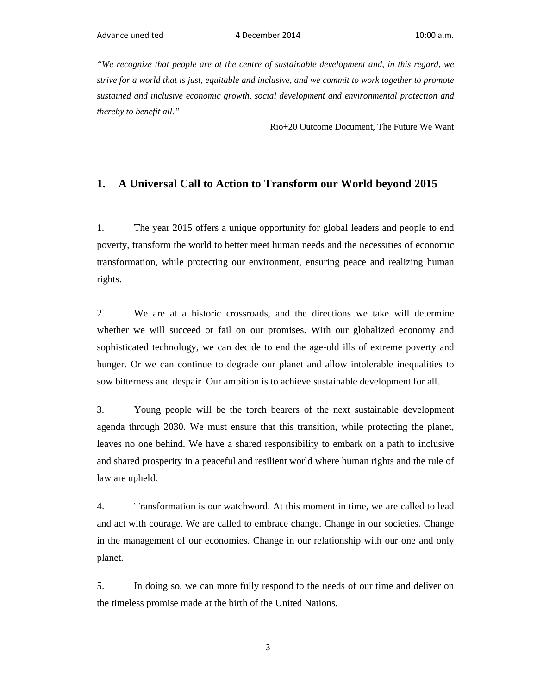*"We recognize that people are at the centre of sustainable development and, in this regard, we strive for a world that is just, equitable and inclusive, and we commit to work together to promote sustained and inclusive economic growth, social development and environmental protection and thereby to benefit all."* 

Rio+20 Outcome Document, The Future We Want

## **1. A Universal Call to Action to Transform our World beyond 2015**

1. The year 2015 offers a unique opportunity for global leaders and people to end poverty, transform the world to better meet human needs and the necessities of economic transformation, while protecting our environment, ensuring peace and realizing human rights.

2. We are at a historic crossroads, and the directions we take will determine whether we will succeed or fail on our promises. With our globalized economy and sophisticated technology, we can decide to end the age-old ills of extreme poverty and hunger. Or we can continue to degrade our planet and allow intolerable inequalities to sow bitterness and despair. Our ambition is to achieve sustainable development for all.

3. Young people will be the torch bearers of the next sustainable development agenda through 2030. We must ensure that this transition, while protecting the planet, leaves no one behind. We have a shared responsibility to embark on a path to inclusive and shared prosperity in a peaceful and resilient world where human rights and the rule of law are upheld.

4. Transformation is our watchword. At this moment in time, we are called to lead and act with courage. We are called to embrace change. Change in our societies. Change in the management of our economies. Change in our relationship with our one and only planet.

5. In doing so, we can more fully respond to the needs of our time and deliver on the timeless promise made at the birth of the United Nations.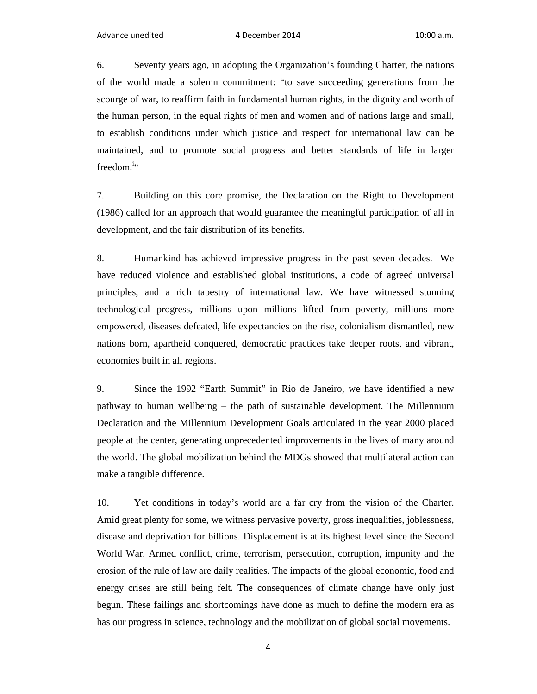Advance unedited a metal and the 4 December 2014 10:00 a.m.

6. Seventy years ago, in adopting the Organization's founding Charter, the nations of the world made a solemn commitment: "to save succeeding generations from the scourge of war, to reaffirm faith in fundamental human rights, in the dignity and worth of the human person, in the equal rights of men and women and of nations large and small, to establish conditions under which justice and respect for international law can be maintained, and to promote social progress and better standards of life in larger freedom.<sup>i.c</sup>

7. Building on this core promise, the Declaration on the Right to Development (1986) called for an approach that would guarantee the meaningful participation of all in development, and the fair distribution of its benefits.

8. Humankind has achieved impressive progress in the past seven decades. We have reduced violence and established global institutions, a code of agreed universal principles, and a rich tapestry of international law. We have witnessed stunning technological progress, millions upon millions lifted from poverty, millions more empowered, diseases defeated, life expectancies on the rise, colonialism dismantled, new nations born, apartheid conquered, democratic practices take deeper roots, and vibrant, economies built in all regions.

9. Since the 1992 "Earth Summit" in Rio de Janeiro, we have identified a new pathway to human wellbeing – the path of sustainable development. The Millennium Declaration and the Millennium Development Goals articulated in the year 2000 placed people at the center, generating unprecedented improvements in the lives of many around the world. The global mobilization behind the MDGs showed that multilateral action can make a tangible difference.

10. Yet conditions in today's world are a far cry from the vision of the Charter. Amid great plenty for some, we witness pervasive poverty, gross inequalities, joblessness, disease and deprivation for billions. Displacement is at its highest level since the Second World War. Armed conflict, crime, terrorism, persecution, corruption, impunity and the erosion of the rule of law are daily realities. The impacts of the global economic, food and energy crises are still being felt. The consequences of climate change have only just begun. These failings and shortcomings have done as much to define the modern era as has our progress in science, technology and the mobilization of global social movements.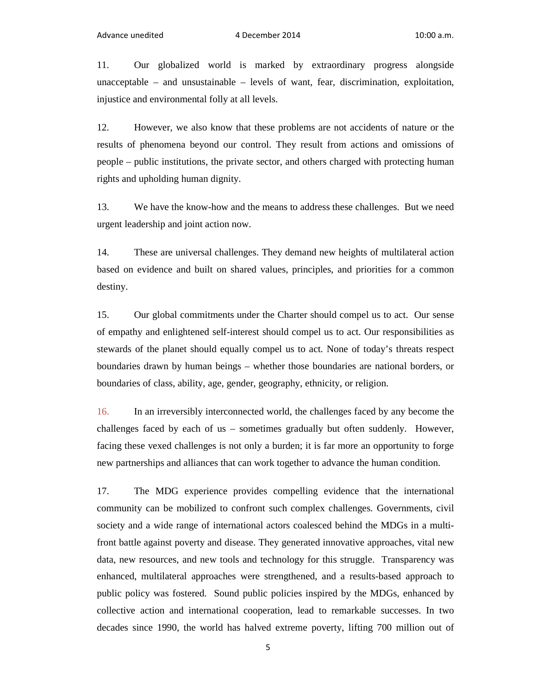11. Our globalized world is marked by extraordinary progress alongside unacceptable – and unsustainable – levels of want, fear, discrimination, exploitation, injustice and environmental folly at all levels.

12. However, we also know that these problems are not accidents of nature or the results of phenomena beyond our control. They result from actions and omissions of people – public institutions, the private sector, and others charged with protecting human rights and upholding human dignity.

13. We have the know-how and the means to address these challenges. But we need urgent leadership and joint action now.

14. These are universal challenges. They demand new heights of multilateral action based on evidence and built on shared values, principles, and priorities for a common destiny.

15. Our global commitments under the Charter should compel us to act. Our sense of empathy and enlightened self-interest should compel us to act. Our responsibilities as stewards of the planet should equally compel us to act. None of today's threats respect boundaries drawn by human beings – whether those boundaries are national borders, or boundaries of class, ability, age, gender, geography, ethnicity, or religion.

16. In an irreversibly interconnected world, the challenges faced by any become the challenges faced by each of us – sometimes gradually but often suddenly. However, facing these vexed challenges is not only a burden; it is far more an opportunity to forge new partnerships and alliances that can work together to advance the human condition.

17. The MDG experience provides compelling evidence that the international community can be mobilized to confront such complex challenges. Governments, civil society and a wide range of international actors coalesced behind the MDGs in a multifront battle against poverty and disease. They generated innovative approaches, vital new data, new resources, and new tools and technology for this struggle. Transparency was enhanced, multilateral approaches were strengthened, and a results-based approach to public policy was fostered. Sound public policies inspired by the MDGs, enhanced by collective action and international cooperation, lead to remarkable successes. In two decades since 1990, the world has halved extreme poverty, lifting 700 million out of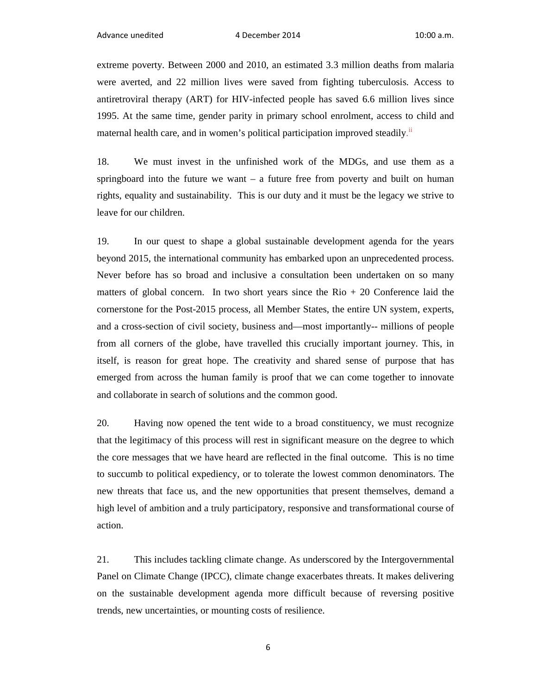extreme poverty. Between 2000 and 2010, an estimated 3.3 million deaths from malaria were averted, and 22 million lives were saved from fighting tuberculosis. Access to antiretroviral therapy (ART) for HIV-infected people has saved 6.6 million lives since 1995. At the same time, gender parity in primary school enrolment, access to child and maternal health care, and in women's political participation improved steadily.<sup>ii</sup>

18. We must invest in the unfinished work of the MDGs, and use them as a springboard into the future we want – a future free from poverty and built on human rights, equality and sustainability. This is our duty and it must be the legacy we strive to leave for our children.

19. In our quest to shape a global sustainable development agenda for the years beyond 2015, the international community has embarked upon an unprecedented process. Never before has so broad and inclusive a consultation been undertaken on so many matters of global concern. In two short years since the  $R$ io  $+$  20 Conference laid the cornerstone for the Post-2015 process, all Member States, the entire UN system, experts, and a cross-section of civil society, business and—most importantly-- millions of people from all corners of the globe, have travelled this crucially important journey. This, in itself, is reason for great hope. The creativity and shared sense of purpose that has emerged from across the human family is proof that we can come together to innovate and collaborate in search of solutions and the common good.

20. Having now opened the tent wide to a broad constituency, we must recognize that the legitimacy of this process will rest in significant measure on the degree to which the core messages that we have heard are reflected in the final outcome. This is no time to succumb to political expediency, or to tolerate the lowest common denominators. The new threats that face us, and the new opportunities that present themselves, demand a high level of ambition and a truly participatory, responsive and transformational course of action.

21. This includes tackling climate change. As underscored by the Intergovernmental Panel on Climate Change (IPCC), climate change exacerbates threats. It makes delivering on the sustainable development agenda more difficult because of reversing positive trends, new uncertainties, or mounting costs of resilience.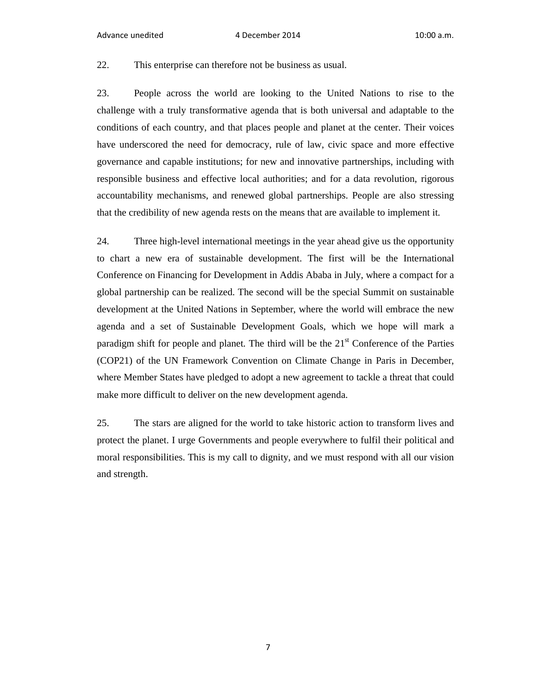## 22. This enterprise can therefore not be business as usual.

23. People across the world are looking to the United Nations to rise to the challenge with a truly transformative agenda that is both universal and adaptable to the conditions of each country, and that places people and planet at the center. Their voices have underscored the need for democracy, rule of law, civic space and more effective governance and capable institutions; for new and innovative partnerships, including with responsible business and effective local authorities; and for a data revolution, rigorous accountability mechanisms, and renewed global partnerships. People are also stressing that the credibility of new agenda rests on the means that are available to implement it.

24. Three high-level international meetings in the year ahead give us the opportunity to chart a new era of sustainable development. The first will be the International Conference on Financing for Development in Addis Ababa in July, where a compact for a global partnership can be realized. The second will be the special Summit on sustainable development at the United Nations in September, where the world will embrace the new agenda and a set of Sustainable Development Goals, which we hope will mark a paradigm shift for people and planet. The third will be the  $21<sup>st</sup>$  Conference of the Parties (COP21) of the UN Framework Convention on Climate Change in Paris in December, where Member States have pledged to adopt a new agreement to tackle a threat that could make more difficult to deliver on the new development agenda.

25. The stars are aligned for the world to take historic action to transform lives and protect the planet. I urge Governments and people everywhere to fulfil their political and moral responsibilities. This is my call to dignity, and we must respond with all our vision and strength.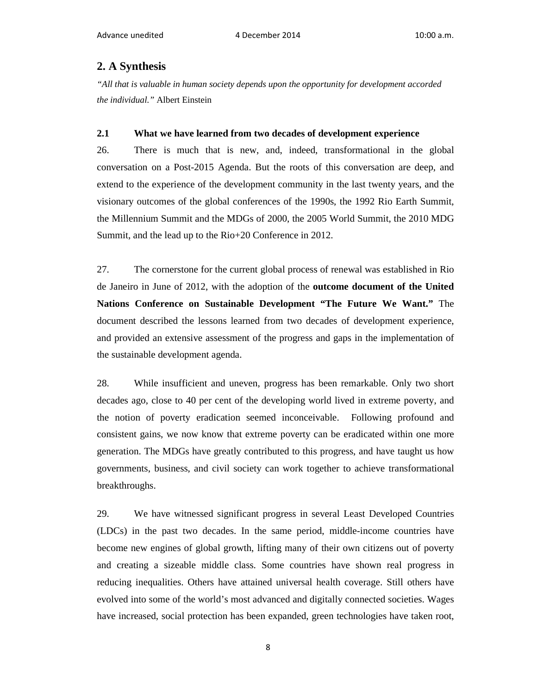# **2. A Synthesis**

*"All that is valuable in human society depends upon the opportunity for development accorded the individual."* Albert Einstein

# **2.1 What we have learned from two decades of development experience**

26. There is much that is new, and, indeed, transformational in the global conversation on a Post-2015 Agenda. But the roots of this conversation are deep, and extend to the experience of the development community in the last twenty years, and the visionary outcomes of the global conferences of the 1990s, the 1992 Rio Earth Summit, the Millennium Summit and the MDGs of 2000, the 2005 World Summit, the 2010 MDG Summit, and the lead up to the Rio+20 Conference in 2012.

27. The cornerstone for the current global process of renewal was established in Rio de Janeiro in June of 2012, with the adoption of the **outcome document of the United Nations Conference on Sustainable Development "The Future We Want."** The document described the lessons learned from two decades of development experience, and provided an extensive assessment of the progress and gaps in the implementation of the sustainable development agenda.

28. While insufficient and uneven, progress has been remarkable. Only two short decades ago, close to 40 per cent of the developing world lived in extreme poverty, and the notion of poverty eradication seemed inconceivable. Following profound and consistent gains, we now know that extreme poverty can be eradicated within one more generation. The MDGs have greatly contributed to this progress, and have taught us how governments, business, and civil society can work together to achieve transformational breakthroughs.

29. We have witnessed significant progress in several Least Developed Countries (LDCs) in the past two decades. In the same period, middle-income countries have become new engines of global growth, lifting many of their own citizens out of poverty and creating a sizeable middle class. Some countries have shown real progress in reducing inequalities. Others have attained universal health coverage. Still others have evolved into some of the world's most advanced and digitally connected societies. Wages have increased, social protection has been expanded, green technologies have taken root,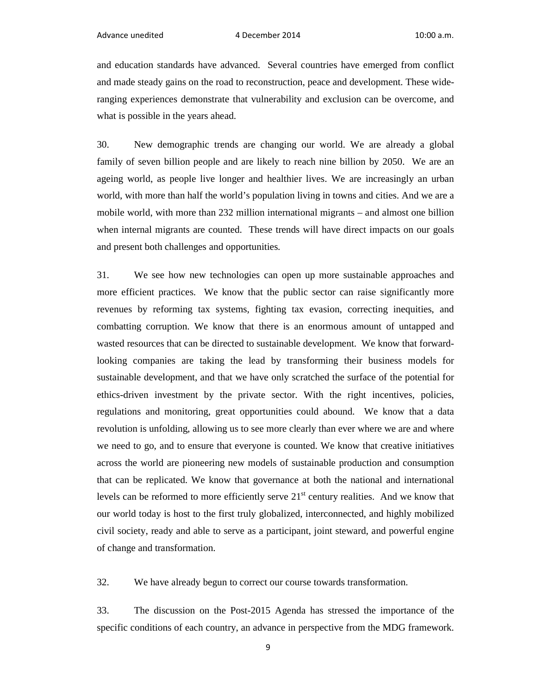and education standards have advanced. Several countries have emerged from conflict and made steady gains on the road to reconstruction, peace and development. These wideranging experiences demonstrate that vulnerability and exclusion can be overcome, and what is possible in the years ahead.

30. New demographic trends are changing our world. We are already a global family of seven billion people and are likely to reach nine billion by 2050. We are an ageing world, as people live longer and healthier lives. We are increasingly an urban world, with more than half the world's population living in towns and cities. And we are a mobile world, with more than 232 million international migrants – and almost one billion when internal migrants are counted. These trends will have direct impacts on our goals and present both challenges and opportunities.

31. We see how new technologies can open up more sustainable approaches and more efficient practices. We know that the public sector can raise significantly more revenues by reforming tax systems, fighting tax evasion, correcting inequities, and combatting corruption. We know that there is an enormous amount of untapped and wasted resources that can be directed to sustainable development. We know that forwardlooking companies are taking the lead by transforming their business models for sustainable development, and that we have only scratched the surface of the potential for ethics-driven investment by the private sector. With the right incentives, policies, regulations and monitoring, great opportunities could abound. We know that a data revolution is unfolding, allowing us to see more clearly than ever where we are and where we need to go, and to ensure that everyone is counted. We know that creative initiatives across the world are pioneering new models of sustainable production and consumption that can be replicated. We know that governance at both the national and international levels can be reformed to more efficiently serve  $21<sup>st</sup>$  century realities. And we know that our world today is host to the first truly globalized, interconnected, and highly mobilized civil society, ready and able to serve as a participant, joint steward, and powerful engine of change and transformation.

32. We have already begun to correct our course towards transformation.

33. The discussion on the Post-2015 Agenda has stressed the importance of the specific conditions of each country, an advance in perspective from the MDG framework.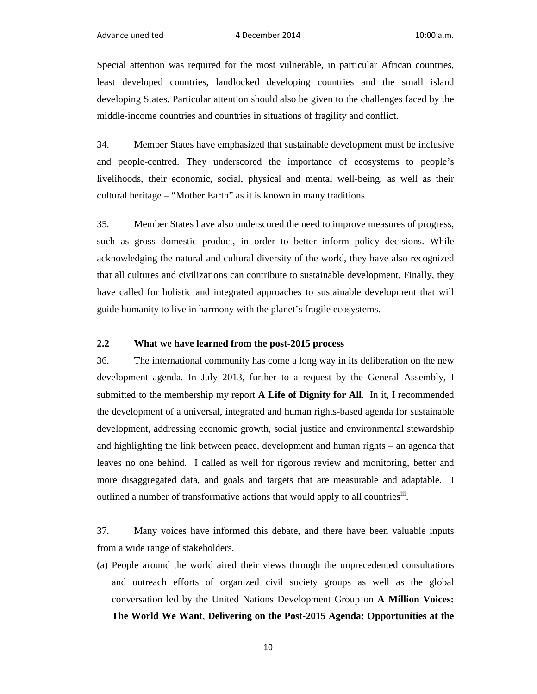Special attention was required for the most vulnerable, in particular African countries, least developed countries, landlocked developing countries and the small island developing States. Particular attention should also be given to the challenges faced by the middle-income countries and countries in situations of fragility and conflict.

34. Member States have emphasized that sustainable development must be inclusive and people-centred. They underscored the importance of ecosystems to people's livelihoods, their economic, social, physical and mental well-being, as well as their cultural heritage – "Mother Earth" as it is known in many traditions.

35. Member States have also underscored the need to improve measures of progress, such as gross domestic product, in order to better inform policy decisions. While acknowledging the natural and cultural diversity of the world, they have also recognized that all cultures and civilizations can contribute to sustainable development. Finally, they have called for holistic and integrated approaches to sustainable development that will guide humanity to live in harmony with the planet's fragile ecosystems.

## **2.2 What we have learned from the post-2015 process**

36. The international community has come a long way in its deliberation on the new development agenda. In July 2013, further to a request by the General Assembly, I submitted to the membership my report **A Life of Dignity for All**. In it, I recommended the development of a universal, integrated and human rights-based agenda for sustainable development, addressing economic growth, social justice and environmental stewardship and highlighting the link between peace, development and human rights – an agenda that leaves no one behind. I called as well for rigorous review and monitoring, better and more disaggregated data, and goals and targets that are measurable and adaptable. I outlined a number of transformative actions that would apply to all countries<sup>iii</sup>.

37. Many voices have informed this debate, and there have been valuable inputs from a wide range of stakeholders.

(a) People around the world aired their views through the unprecedented consultations and outreach efforts of organized civil society groups as well as the global conversation led by the United Nations Development Group on **A Million Voices: The World We Want**, **Delivering on the Post-2015 Agenda: Opportunities at the**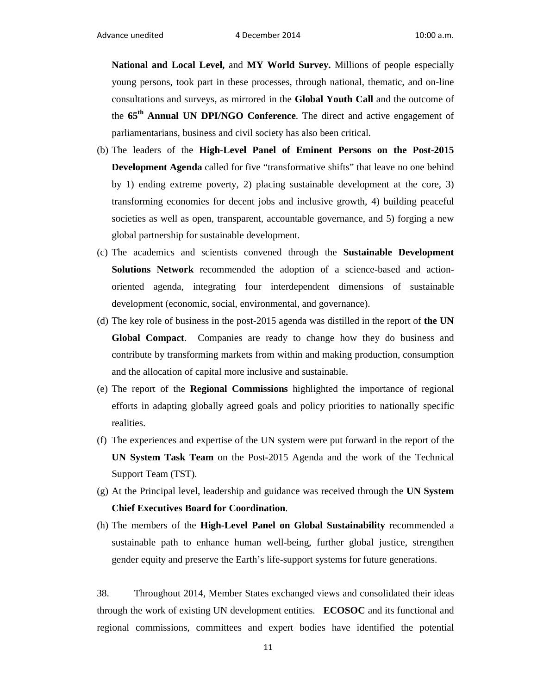**National and Local Level,** and **MY World Survey.** Millions of people especially young persons, took part in these processes, through national, thematic, and on-line consultations and surveys, as mirrored in the **Global Youth Call** and the outcome of the **65th Annual UN DPI/NGO Conference**. The direct and active engagement of parliamentarians, business and civil society has also been critical.

- (b) The leaders of the **High-Level Panel of Eminent Persons on the Post-2015 Development Agenda** called for five "transformative shifts" that leave no one behind by 1) ending extreme poverty, 2) placing sustainable development at the core, 3) transforming economies for decent jobs and inclusive growth, 4) building peaceful societies as well as open, transparent, accountable governance, and 5) forging a new global partnership for sustainable development.
- (c) The academics and scientists convened through the **Sustainable Development Solutions Network** recommended the adoption of a science-based and actionoriented agenda, integrating four interdependent dimensions of sustainable development (economic, social, environmental, and governance).
- (d) The key role of business in the post-2015 agenda was distilled in the report of **the UN Global Compact**. Companies are ready to change how they do business and contribute by transforming markets from within and making production, consumption and the allocation of capital more inclusive and sustainable.
- (e) The report of the **Regional Commissions** highlighted the importance of regional efforts in adapting globally agreed goals and policy priorities to nationally specific realities.
- (f) The experiences and expertise of the UN system were put forward in the report of the **UN System Task Team** on the Post-2015 Agenda and the work of the Technical Support Team (TST).
- (g) At the Principal level, leadership and guidance was received through the **UN System Chief Executives Board for Coordination**.
- (h) The members of the **High-Level Panel on Global Sustainability** recommended a sustainable path to enhance human well-being, further global justice, strengthen gender equity and preserve the Earth's life-support systems for future generations.

38. Throughout 2014, Member States exchanged views and consolidated their ideas through the work of existing UN development entities. **ECOSOC** and its functional and regional commissions, committees and expert bodies have identified the potential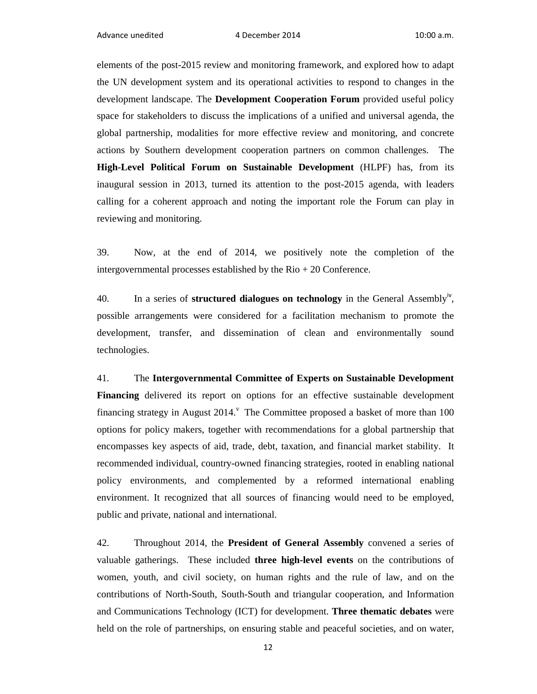elements of the post-2015 review and monitoring framework, and explored how to adapt the UN development system and its operational activities to respond to changes in the development landscape. The **Development Cooperation Forum** provided useful policy space for stakeholders to discuss the implications of a unified and universal agenda, the global partnership, modalities for more effective review and monitoring, and concrete actions by Southern development cooperation partners on common challenges. The **High-Level Political Forum on Sustainable Development** (HLPF) has, from its inaugural session in 2013, turned its attention to the post-2015 agenda, with leaders calling for a coherent approach and noting the important role the Forum can play in reviewing and monitoring.

39. Now, at the end of 2014, we positively note the completion of the intergovernmental processes established by the Rio + 20 Conference.

40. In a series of **structured dialogues on technology** in the General Assemblyiv , possible arrangements were considered for a facilitation mechanism to promote the development, transfer, and dissemination of clean and environmentally sound technologies.

# 41. The **Intergovernmental Committee of Experts on Sustainable Development Financing** delivered its report on options for an effective sustainable development financing strategy in August  $2014$ . The Committee proposed a basket of more than 100 options for policy makers, together with recommendations for a global partnership that encompasses key aspects of aid, trade, debt, taxation, and financial market stability. It recommended individual, country-owned financing strategies, rooted in enabling national policy environments, and complemented by a reformed international enabling environment. It recognized that all sources of financing would need to be employed, public and private, national and international.

42. Throughout 2014, the **President of General Assembly** convened a series of valuable gatherings. These included **three high-level events** on the contributions of women, youth, and civil society, on human rights and the rule of law, and on the contributions of North-South, South-South and triangular cooperation, and Information and Communications Technology (ICT) for development. **Three thematic debates** were held on the role of partnerships, on ensuring stable and peaceful societies, and on water,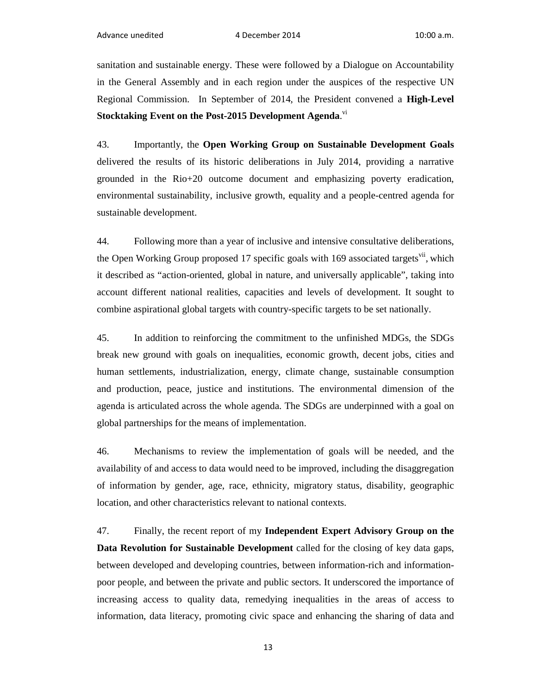sanitation and sustainable energy. These were followed by a Dialogue on Accountability in the General Assembly and in each region under the auspices of the respective UN Regional Commission. In September of 2014, the President convened a **High-Level Stocktaking Event on the Post-2015 Development Agenda**. vi

43. Importantly, the **Open Working Group on Sustainable Development Goals** delivered the results of its historic deliberations in July 2014, providing a narrative grounded in the Rio+20 outcome document and emphasizing poverty eradication, environmental sustainability, inclusive growth, equality and a people-centred agenda for sustainable development.

44. Following more than a year of inclusive and intensive consultative deliberations, the Open Working Group proposed 17 specific goals with 169 associated targets<sup>vii</sup>, which it described as "action-oriented, global in nature, and universally applicable", taking into account different national realities, capacities and levels of development. It sought to combine aspirational global targets with country-specific targets to be set nationally.

45. In addition to reinforcing the commitment to the unfinished MDGs, the SDGs break new ground with goals on inequalities, economic growth, decent jobs, cities and human settlements, industrialization, energy, climate change, sustainable consumption and production, peace, justice and institutions. The environmental dimension of the agenda is articulated across the whole agenda. The SDGs are underpinned with a goal on global partnerships for the means of implementation.

46. Mechanisms to review the implementation of goals will be needed, and the availability of and access to data would need to be improved, including the disaggregation of information by gender, age, race, ethnicity, migratory status, disability, geographic location, and other characteristics relevant to national contexts.

47. Finally, the recent report of my **Independent Expert Advisory Group on the Data Revolution for Sustainable Development** called for the closing of key data gaps, between developed and developing countries, between information-rich and informationpoor people, and between the private and public sectors. It underscored the importance of increasing access to quality data, remedying inequalities in the areas of access to information, data literacy, promoting civic space and enhancing the sharing of data and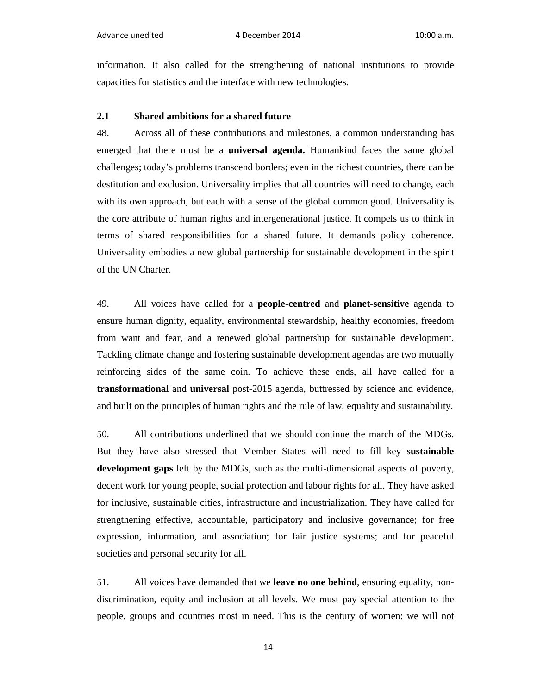information. It also called for the strengthening of national institutions to provide capacities for statistics and the interface with new technologies.

### **2.1 Shared ambitions for a shared future**

48. Across all of these contributions and milestones, a common understanding has emerged that there must be a **universal agenda.** Humankind faces the same global challenges; today's problems transcend borders; even in the richest countries, there can be destitution and exclusion. Universality implies that all countries will need to change, each with its own approach, but each with a sense of the global common good. Universality is the core attribute of human rights and intergenerational justice. It compels us to think in terms of shared responsibilities for a shared future. It demands policy coherence. Universality embodies a new global partnership for sustainable development in the spirit of the UN Charter.

49. All voices have called for a **people-centred** and **planet-sensitive** agenda to ensure human dignity, equality, environmental stewardship, healthy economies, freedom from want and fear, and a renewed global partnership for sustainable development. Tackling climate change and fostering sustainable development agendas are two mutually reinforcing sides of the same coin. To achieve these ends, all have called for a **transformational** and **universal** post-2015 agenda, buttressed by science and evidence, and built on the principles of human rights and the rule of law, equality and sustainability.

50. All contributions underlined that we should continue the march of the MDGs. But they have also stressed that Member States will need to fill key **sustainable development gaps** left by the MDGs, such as the multi-dimensional aspects of poverty, decent work for young people, social protection and labour rights for all. They have asked for inclusive, sustainable cities, infrastructure and industrialization. They have called for strengthening effective, accountable, participatory and inclusive governance; for free expression, information, and association; for fair justice systems; and for peaceful societies and personal security for all.

51. All voices have demanded that we **leave no one behind**, ensuring equality, nondiscrimination, equity and inclusion at all levels. We must pay special attention to the people, groups and countries most in need. This is the century of women: we will not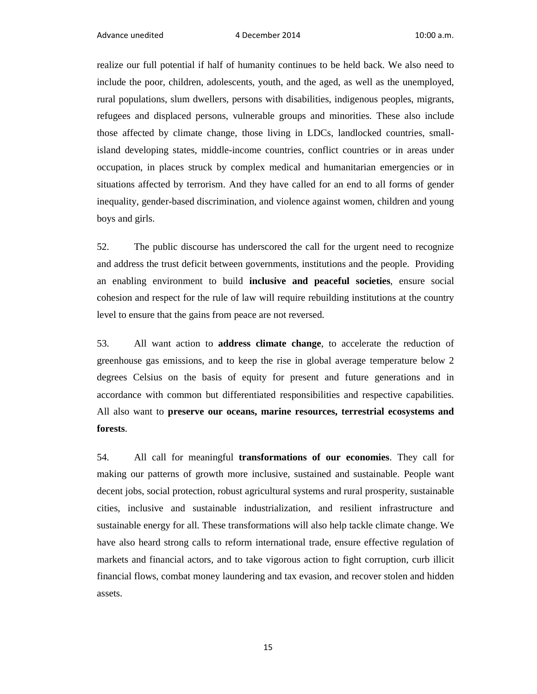Advance unedited a metal and the 4 December 2014 10:00 a.m.

realize our full potential if half of humanity continues to be held back. We also need to include the poor, children, adolescents, youth, and the aged, as well as the unemployed, rural populations, slum dwellers, persons with disabilities, indigenous peoples, migrants, refugees and displaced persons, vulnerable groups and minorities. These also include those affected by climate change, those living in LDCs, landlocked countries, smallisland developing states, middle-income countries, conflict countries or in areas under occupation, in places struck by complex medical and humanitarian emergencies or in situations affected by terrorism. And they have called for an end to all forms of gender inequality, gender-based discrimination, and violence against women, children and young boys and girls.

52. The public discourse has underscored the call for the urgent need to recognize and address the trust deficit between governments, institutions and the people. Providing an enabling environment to build **inclusive and peaceful societies**, ensure social cohesion and respect for the rule of law will require rebuilding institutions at the country level to ensure that the gains from peace are not reversed.

53. All want action to **address climate change**, to accelerate the reduction of greenhouse gas emissions, and to keep the rise in global average temperature below 2 degrees Celsius on the basis of equity for present and future generations and in accordance with common but differentiated responsibilities and respective capabilities. All also want to **preserve our oceans, marine resources, terrestrial ecosystems and forests**.

54. All call for meaningful **transformations of our economies**. They call for making our patterns of growth more inclusive, sustained and sustainable. People want decent jobs, social protection, robust agricultural systems and rural prosperity, sustainable cities, inclusive and sustainable industrialization, and resilient infrastructure and sustainable energy for all. These transformations will also help tackle climate change. We have also heard strong calls to reform international trade, ensure effective regulation of markets and financial actors, and to take vigorous action to fight corruption, curb illicit financial flows, combat money laundering and tax evasion, and recover stolen and hidden assets.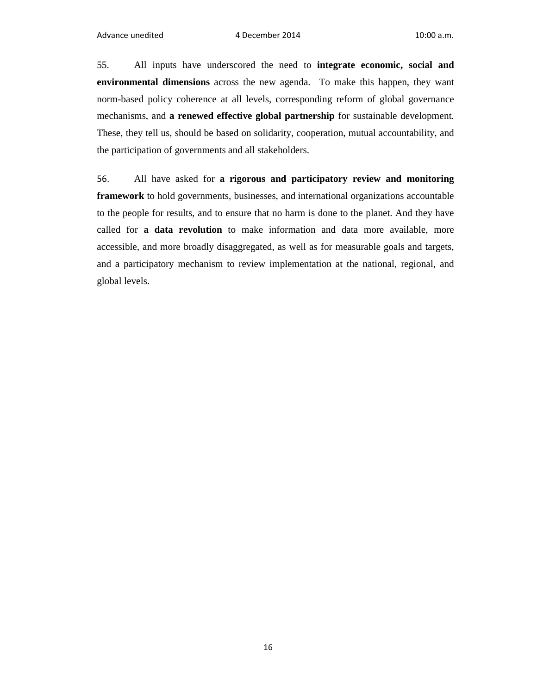55. All inputs have underscored the need to **integrate economic, social and environmental dimensions** across the new agenda. To make this happen, they want norm-based policy coherence at all levels, corresponding reform of global governance mechanisms, and **a renewed effective global partnership** for sustainable development. These, they tell us, should be based on solidarity, cooperation, mutual accountability, and the participation of governments and all stakeholders.

56. All have asked for **a rigorous and participatory review and monitoring framework** to hold governments, businesses, and international organizations accountable to the people for results, and to ensure that no harm is done to the planet. And they have called for **a data revolution** to make information and data more available, more accessible, and more broadly disaggregated, as well as for measurable goals and targets, and a participatory mechanism to review implementation at the national, regional, and global levels.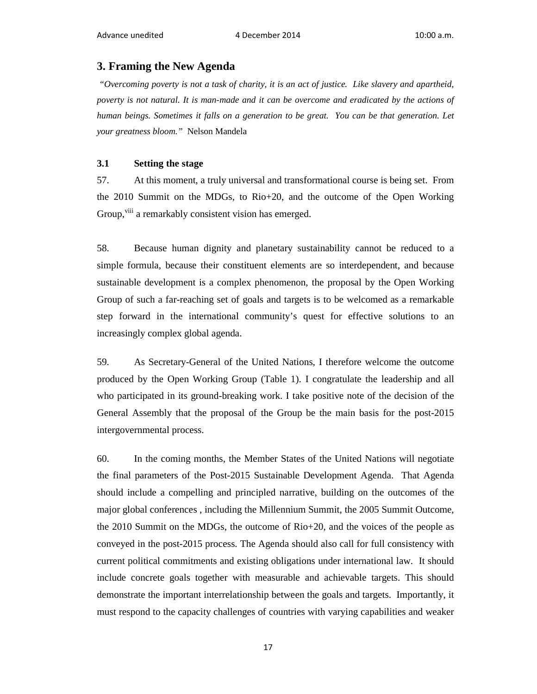# **3. Framing the New Agenda**

 *"Overcoming poverty is not a task of charity, it is an act of justice. Like slavery and apartheid, poverty is not natural. It is man-made and it can be overcome and eradicated by the actions of human beings. Sometimes it falls on a generation to be great. You can be that generation. Let your greatness bloom."* Nelson Mandela

### **3.1 Setting the stage**

57. At this moment, a truly universal and transformational course is being set. From the 2010 Summit on the MDGs, to Rio+20, and the outcome of the Open Working Group,<sup>viii</sup> a remarkably consistent vision has emerged.

58. Because human dignity and planetary sustainability cannot be reduced to a simple formula, because their constituent elements are so interdependent, and because sustainable development is a complex phenomenon, the proposal by the Open Working Group of such a far-reaching set of goals and targets is to be welcomed as a remarkable step forward in the international community's quest for effective solutions to an increasingly complex global agenda.

59. As Secretary-General of the United Nations, I therefore welcome the outcome produced by the Open Working Group (Table 1). I congratulate the leadership and all who participated in its ground-breaking work. I take positive note of the decision of the General Assembly that the proposal of the Group be the main basis for the post-2015 intergovernmental process.

60. In the coming months, the Member States of the United Nations will negotiate the final parameters of the Post-2015 Sustainable Development Agenda. That Agenda should include a compelling and principled narrative, building on the outcomes of the major global conferences , including the Millennium Summit, the 2005 Summit Outcome, the 2010 Summit on the MDGs, the outcome of Rio+20, and the voices of the people as conveyed in the post-2015 process. The Agenda should also call for full consistency with current political commitments and existing obligations under international law. It should include concrete goals together with measurable and achievable targets. This should demonstrate the important interrelationship between the goals and targets. Importantly, it must respond to the capacity challenges of countries with varying capabilities and weaker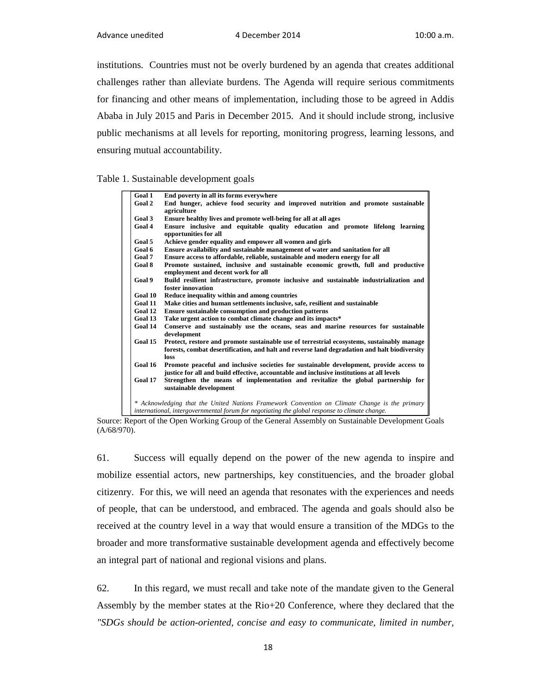institutions. Countries must not be overly burdened by an agenda that creates additional challenges rather than alleviate burdens. The Agenda will require serious commitments for financing and other means of implementation, including those to be agreed in Addis Ababa in July 2015 and Paris in December 2015. And it should include strong, inclusive public mechanisms at all levels for reporting, monitoring progress, learning lessons, and ensuring mutual accountability.

Table 1. Sustainable development goals

| Goal 1<br>End poverty in all its forms everywhere<br>Goal 2<br>agriculture<br>Goal 3<br>Ensure healthy lives and promote well-being for all at all ages<br>Goal 4<br>opportunities for all<br>Goal 5<br>Achieve gender equality and empower all women and girls<br>Goal 6<br>Ensure access to affordable, reliable, sustainable and modern energy for all<br>Goal 7<br>Goal 8<br>employment and decent work for all<br>Goal 9<br>foster innovation<br>Goal 10<br>Reduce inequality within and among countries<br>Goal 11<br>Make cities and human settlements inclusive, safe, resilient and sustainable | End hunger, achieve food security and improved nutrition and promote sustainable<br>Ensure inclusive and equitable quality education and promote lifelong learning<br>Ensure availability and sustainable management of water and sanitation for all<br>Promote sustained, inclusive and sustainable economic growth, full and productive<br>Build resilient infrastructure, promote inclusive and sustainable industrialization and |
|----------------------------------------------------------------------------------------------------------------------------------------------------------------------------------------------------------------------------------------------------------------------------------------------------------------------------------------------------------------------------------------------------------------------------------------------------------------------------------------------------------------------------------------------------------------------------------------------------------|--------------------------------------------------------------------------------------------------------------------------------------------------------------------------------------------------------------------------------------------------------------------------------------------------------------------------------------------------------------------------------------------------------------------------------------|
|                                                                                                                                                                                                                                                                                                                                                                                                                                                                                                                                                                                                          |                                                                                                                                                                                                                                                                                                                                                                                                                                      |
|                                                                                                                                                                                                                                                                                                                                                                                                                                                                                                                                                                                                          |                                                                                                                                                                                                                                                                                                                                                                                                                                      |
|                                                                                                                                                                                                                                                                                                                                                                                                                                                                                                                                                                                                          |                                                                                                                                                                                                                                                                                                                                                                                                                                      |
|                                                                                                                                                                                                                                                                                                                                                                                                                                                                                                                                                                                                          |                                                                                                                                                                                                                                                                                                                                                                                                                                      |
|                                                                                                                                                                                                                                                                                                                                                                                                                                                                                                                                                                                                          |                                                                                                                                                                                                                                                                                                                                                                                                                                      |
|                                                                                                                                                                                                                                                                                                                                                                                                                                                                                                                                                                                                          |                                                                                                                                                                                                                                                                                                                                                                                                                                      |
|                                                                                                                                                                                                                                                                                                                                                                                                                                                                                                                                                                                                          |                                                                                                                                                                                                                                                                                                                                                                                                                                      |
|                                                                                                                                                                                                                                                                                                                                                                                                                                                                                                                                                                                                          |                                                                                                                                                                                                                                                                                                                                                                                                                                      |
|                                                                                                                                                                                                                                                                                                                                                                                                                                                                                                                                                                                                          |                                                                                                                                                                                                                                                                                                                                                                                                                                      |
|                                                                                                                                                                                                                                                                                                                                                                                                                                                                                                                                                                                                          |                                                                                                                                                                                                                                                                                                                                                                                                                                      |
|                                                                                                                                                                                                                                                                                                                                                                                                                                                                                                                                                                                                          |                                                                                                                                                                                                                                                                                                                                                                                                                                      |
| Ensure sustainable consumption and production patterns<br>Goal 12                                                                                                                                                                                                                                                                                                                                                                                                                                                                                                                                        |                                                                                                                                                                                                                                                                                                                                                                                                                                      |
| Take urgent action to combat climate change and its impacts*<br>Goal 13                                                                                                                                                                                                                                                                                                                                                                                                                                                                                                                                  |                                                                                                                                                                                                                                                                                                                                                                                                                                      |
| Goal 14<br>development                                                                                                                                                                                                                                                                                                                                                                                                                                                                                                                                                                                   | Conserve and sustainably use the oceans, seas and marine resources for sustainable                                                                                                                                                                                                                                                                                                                                                   |
| Goal 15<br>loss                                                                                                                                                                                                                                                                                                                                                                                                                                                                                                                                                                                          | Protect, restore and promote sustainable use of terrestrial ecosystems, sustainably manage<br>forests, combat desertification, and halt and reverse land degradation and halt biodiversity                                                                                                                                                                                                                                           |
| Goal 16                                                                                                                                                                                                                                                                                                                                                                                                                                                                                                                                                                                                  | Promote peaceful and inclusive societies for sustainable development, provide access to<br>justice for all and build effective, accountable and inclusive institutions at all levels                                                                                                                                                                                                                                                 |
| Goal 17<br>sustainable development                                                                                                                                                                                                                                                                                                                                                                                                                                                                                                                                                                       | Strengthen the means of implementation and revitalize the global partnership for                                                                                                                                                                                                                                                                                                                                                     |
|                                                                                                                                                                                                                                                                                                                                                                                                                                                                                                                                                                                                          | * Acknowledging that the United Nations Framework Convention on Climate Change is the primary                                                                                                                                                                                                                                                                                                                                        |

Source: Report of the Open Working Group of the General Assembly on Sustainable Development Goals (A/68/970).

61. Success will equally depend on the power of the new agenda to inspire and mobilize essential actors, new partnerships, key constituencies, and the broader global citizenry. For this, we will need an agenda that resonates with the experiences and needs of people, that can be understood, and embraced. The agenda and goals should also be received at the country level in a way that would ensure a transition of the MDGs to the broader and more transformative sustainable development agenda and effectively become an integral part of national and regional visions and plans.

62. In this regard, we must recall and take note of the mandate given to the General Assembly by the member states at the Rio+20 Conference, where they declared that the *"SDGs should be action-oriented, concise and easy to communicate, limited in number,*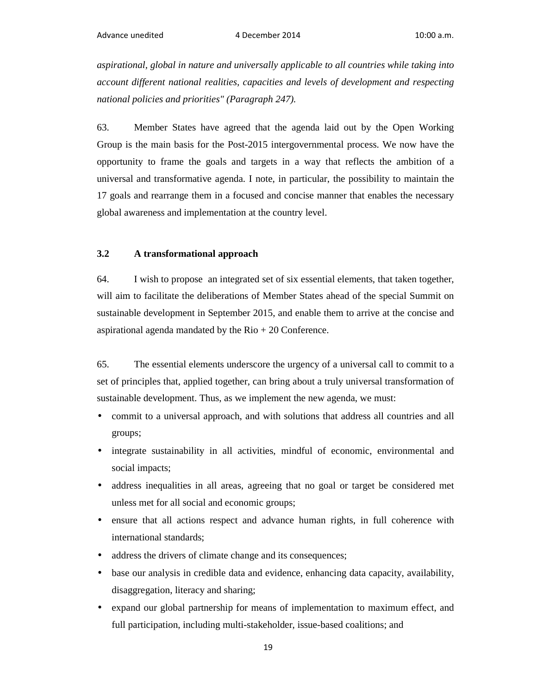*aspirational, global in nature and universally applicable to all countries while taking into account different national realities, capacities and levels of development and respecting national policies and priorities" (Paragraph 247).*

63. Member States have agreed that the agenda laid out by the Open Working Group is the main basis for the Post-2015 intergovernmental process. We now have the opportunity to frame the goals and targets in a way that reflects the ambition of a universal and transformative agenda. I note, in particular, the possibility to maintain the 17 goals and rearrange them in a focused and concise manner that enables the necessary global awareness and implementation at the country level.

# **3.2 A transformational approach**

64. I wish to propose an integrated set of six essential elements, that taken together, will aim to facilitate the deliberations of Member States ahead of the special Summit on sustainable development in September 2015, and enable them to arrive at the concise and aspirational agenda mandated by the  $R$ io + 20 Conference.

65. The essential elements underscore the urgency of a universal call to commit to a set of principles that, applied together, can bring about a truly universal transformation of sustainable development. Thus, as we implement the new agenda, we must:

- commit to a universal approach, and with solutions that address all countries and all groups;
- integrate sustainability in all activities, mindful of economic, environmental and social impacts;
- address inequalities in all areas, agreeing that no goal or target be considered met unless met for all social and economic groups;
- ensure that all actions respect and advance human rights, in full coherence with international standards;
- address the drivers of climate change and its consequences;
- base our analysis in credible data and evidence, enhancing data capacity, availability, disaggregation, literacy and sharing;
- expand our global partnership for means of implementation to maximum effect, and full participation, including multi-stakeholder, issue-based coalitions; and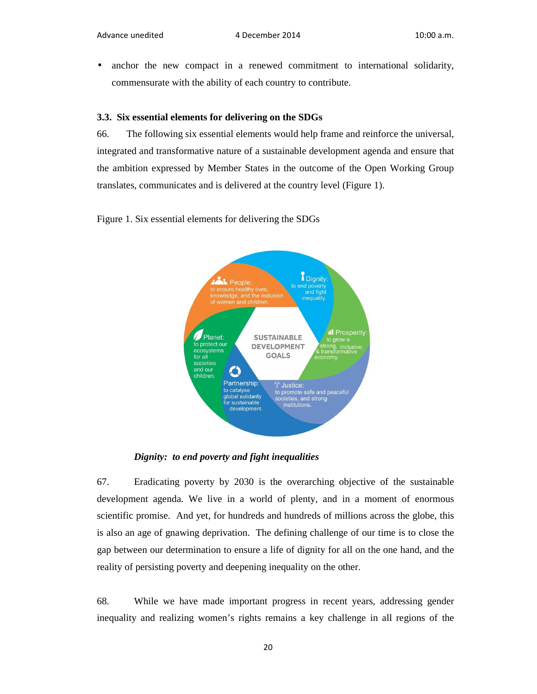• anchor the new compact in a renewed commitment to international solidarity, commensurate with the ability of each country to contribute.

### **3.3. Six essential elements for delivering on the SDGs**

66. The following six essential elements would help frame and reinforce the universal, integrated and transformative nature of a sustainable development agenda and ensure that the ambition expressed by Member States in the outcome of the Open Working Group translates, communicates and is delivered at the country level (Figure 1).

Figure 1. Six essential elements for delivering the SDGs



 *Dignity: to end poverty and fight inequalities* 

67. Eradicating poverty by 2030 is the overarching objective of the sustainable development agenda. We live in a world of plenty, and in a moment of enormous scientific promise. And yet, for hundreds and hundreds of millions across the globe, this is also an age of gnawing deprivation. The defining challenge of our time is to close the gap between our determination to ensure a life of dignity for all on the one hand, and the reality of persisting poverty and deepening inequality on the other.

68. While we have made important progress in recent years, addressing gender inequality and realizing women's rights remains a key challenge in all regions of the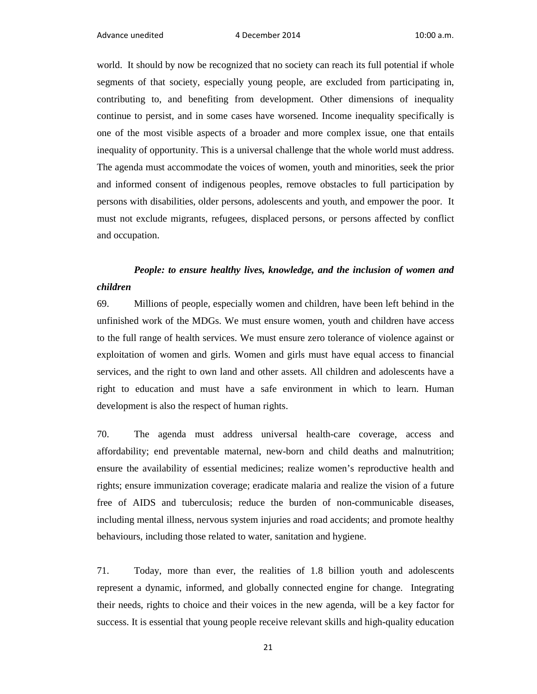Advance unedited a metal and the 4 December 2014 10:00 a.m.

world. It should by now be recognized that no society can reach its full potential if whole segments of that society, especially young people, are excluded from participating in, contributing to, and benefiting from development. Other dimensions of inequality continue to persist, and in some cases have worsened. Income inequality specifically is one of the most visible aspects of a broader and more complex issue, one that entails inequality of opportunity. This is a universal challenge that the whole world must address. The agenda must accommodate the voices of women, youth and minorities, seek the prior and informed consent of indigenous peoples, remove obstacles to full participation by persons with disabilities, older persons, adolescents and youth, and empower the poor. It must not exclude migrants, refugees, displaced persons, or persons affected by conflict and occupation.

# *People: to ensure healthy lives, knowledge, and the inclusion of women and children*

69. Millions of people, especially women and children, have been left behind in the unfinished work of the MDGs. We must ensure women, youth and children have access to the full range of health services. We must ensure zero tolerance of violence against or exploitation of women and girls. Women and girls must have equal access to financial services, and the right to own land and other assets. All children and adolescents have a right to education and must have a safe environment in which to learn. Human development is also the respect of human rights.

70. The agenda must address universal health-care coverage, access and affordability; end preventable maternal, new-born and child deaths and malnutrition; ensure the availability of essential medicines; realize women's reproductive health and rights; ensure immunization coverage; eradicate malaria and realize the vision of a future free of AIDS and tuberculosis; reduce the burden of non-communicable diseases, including mental illness, nervous system injuries and road accidents; and promote healthy behaviours, including those related to water, sanitation and hygiene.

71. Today, more than ever, the realities of 1.8 billion youth and adolescents represent a dynamic, informed, and globally connected engine for change. Integrating their needs, rights to choice and their voices in the new agenda, will be a key factor for success. It is essential that young people receive relevant skills and high-quality education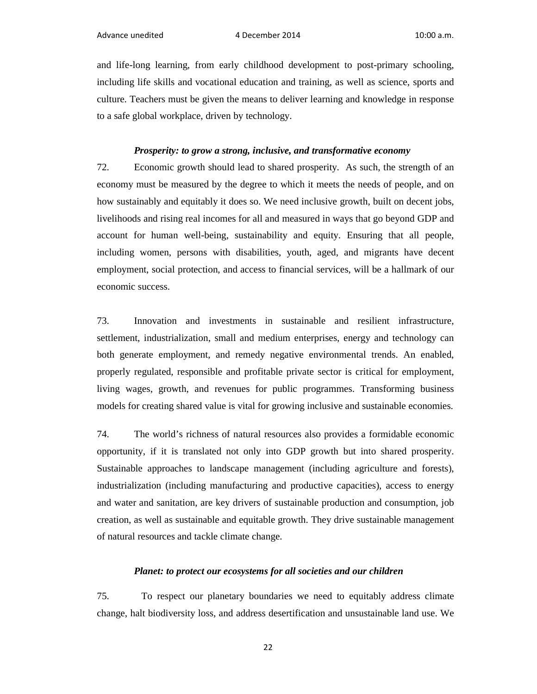and life-long learning, from early childhood development to post-primary schooling, including life skills and vocational education and training, as well as science, sports and culture. Teachers must be given the means to deliver learning and knowledge in response to a safe global workplace, driven by technology.

#### *Prosperity: to grow a strong, inclusive, and transformative economy*

72. Economic growth should lead to shared prosperity. As such, the strength of an economy must be measured by the degree to which it meets the needs of people, and on how sustainably and equitably it does so. We need inclusive growth, built on decent jobs, livelihoods and rising real incomes for all and measured in ways that go beyond GDP and account for human well-being, sustainability and equity. Ensuring that all people, including women, persons with disabilities, youth, aged, and migrants have decent employment, social protection, and access to financial services, will be a hallmark of our economic success.

73. Innovation and investments in sustainable and resilient infrastructure, settlement, industrialization, small and medium enterprises, energy and technology can both generate employment, and remedy negative environmental trends. An enabled, properly regulated, responsible and profitable private sector is critical for employment, living wages, growth, and revenues for public programmes. Transforming business models for creating shared value is vital for growing inclusive and sustainable economies.

74. The world's richness of natural resources also provides a formidable economic opportunity, if it is translated not only into GDP growth but into shared prosperity. Sustainable approaches to landscape management (including agriculture and forests), industrialization (including manufacturing and productive capacities), access to energy and water and sanitation, are key drivers of sustainable production and consumption, job creation, as well as sustainable and equitable growth. They drive sustainable management of natural resources and tackle climate change.

### *Planet: to protect our ecosystems for all societies and our children*

75. To respect our planetary boundaries we need to equitably address climate change, halt biodiversity loss, and address desertification and unsustainable land use. We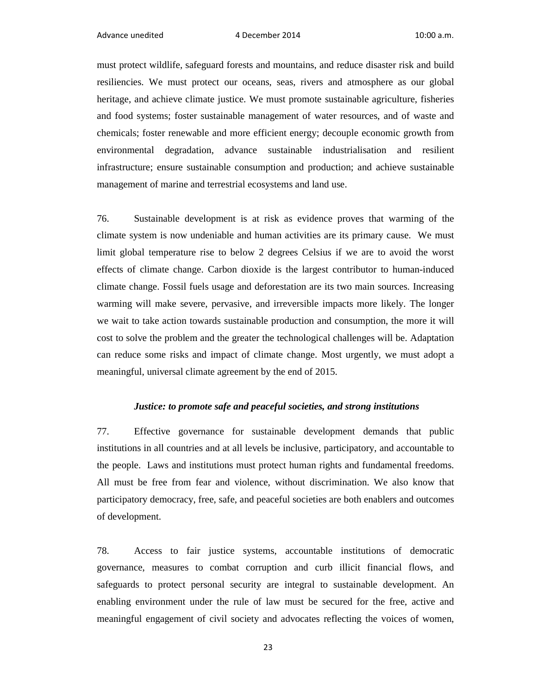Advance unedited a metal and the 4 December 2014 10:00 a.m.

must protect wildlife, safeguard forests and mountains, and reduce disaster risk and build resiliencies. We must protect our oceans, seas, rivers and atmosphere as our global heritage, and achieve climate justice. We must promote sustainable agriculture, fisheries and food systems; foster sustainable management of water resources, and of waste and chemicals; foster renewable and more efficient energy; decouple economic growth from environmental degradation, advance sustainable industrialisation and resilient infrastructure; ensure sustainable consumption and production; and achieve sustainable management of marine and terrestrial ecosystems and land use.

76. Sustainable development is at risk as evidence proves that warming of the climate system is now undeniable and human activities are its primary cause. We must limit global temperature rise to below 2 degrees Celsius if we are to avoid the worst effects of climate change. Carbon dioxide is the largest contributor to human-induced climate change. Fossil fuels usage and deforestation are its two main sources. Increasing warming will make severe, pervasive, and irreversible impacts more likely. The longer we wait to take action towards sustainable production and consumption, the more it will cost to solve the problem and the greater the technological challenges will be. Adaptation can reduce some risks and impact of climate change. Most urgently, we must adopt a meaningful, universal climate agreement by the end of 2015.

#### *Justice: to promote safe and peaceful societies, and strong institutions*

77. Effective governance for sustainable development demands that public institutions in all countries and at all levels be inclusive, participatory, and accountable to the people. Laws and institutions must protect human rights and fundamental freedoms. All must be free from fear and violence, without discrimination. We also know that participatory democracy, free, safe, and peaceful societies are both enablers and outcomes of development.

78. Access to fair justice systems, accountable institutions of democratic governance, measures to combat corruption and curb illicit financial flows, and safeguards to protect personal security are integral to sustainable development. An enabling environment under the rule of law must be secured for the free, active and meaningful engagement of civil society and advocates reflecting the voices of women,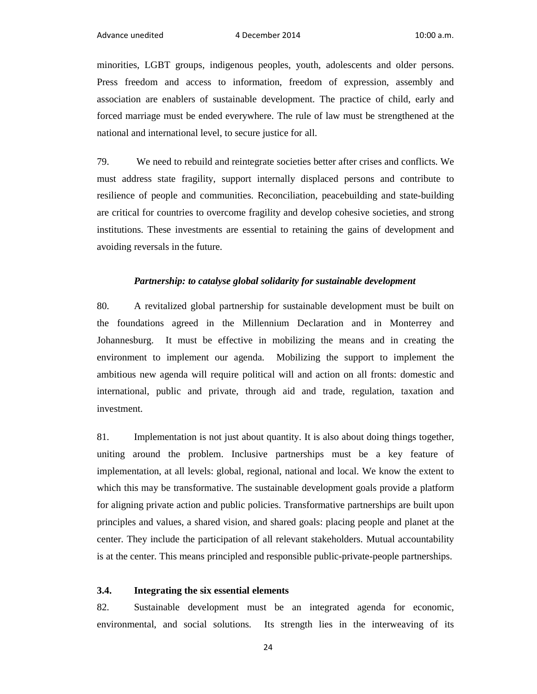minorities, LGBT groups, indigenous peoples, youth, adolescents and older persons. Press freedom and access to information, freedom of expression, assembly and association are enablers of sustainable development. The practice of child, early and forced marriage must be ended everywhere. The rule of law must be strengthened at the national and international level, to secure justice for all.

79. We need to rebuild and reintegrate societies better after crises and conflicts. We must address state fragility, support internally displaced persons and contribute to resilience of people and communities. Reconciliation, peacebuilding and state-building are critical for countries to overcome fragility and develop cohesive societies, and strong institutions. These investments are essential to retaining the gains of development and avoiding reversals in the future.

### *Partnership: to catalyse global solidarity for sustainable development*

80. A revitalized global partnership for sustainable development must be built on the foundations agreed in the Millennium Declaration and in Monterrey and Johannesburg. It must be effective in mobilizing the means and in creating the environment to implement our agenda. Mobilizing the support to implement the ambitious new agenda will require political will and action on all fronts: domestic and international, public and private, through aid and trade, regulation, taxation and investment.

81. Implementation is not just about quantity. It is also about doing things together, uniting around the problem. Inclusive partnerships must be a key feature of implementation, at all levels: global, regional, national and local. We know the extent to which this may be transformative. The sustainable development goals provide a platform for aligning private action and public policies. Transformative partnerships are built upon principles and values, a shared vision, and shared goals: placing people and planet at the center. They include the participation of all relevant stakeholders. Mutual accountability is at the center. This means principled and responsible public-private-people partnerships.

# **3.4. Integrating the six essential elements**

82. Sustainable development must be an integrated agenda for economic, environmental, and social solutions. Its strength lies in the interweaving of its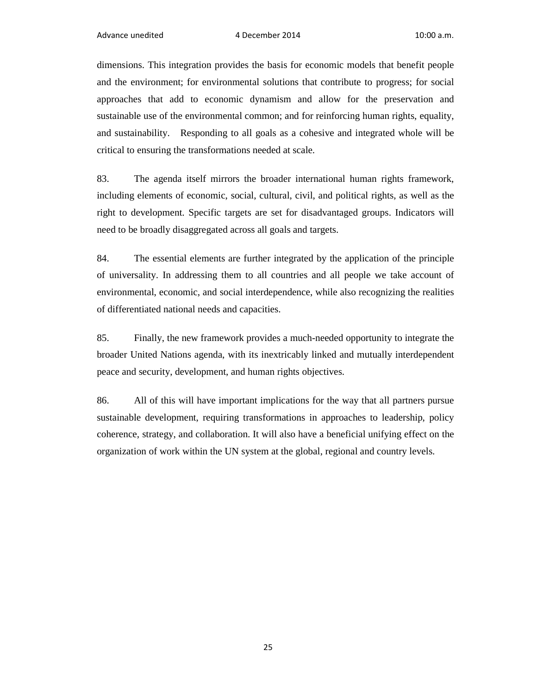dimensions. This integration provides the basis for economic models that benefit people and the environment; for environmental solutions that contribute to progress; for social approaches that add to economic dynamism and allow for the preservation and sustainable use of the environmental common; and for reinforcing human rights, equality, and sustainability. Responding to all goals as a cohesive and integrated whole will be critical to ensuring the transformations needed at scale.

83. The agenda itself mirrors the broader international human rights framework, including elements of economic, social, cultural, civil, and political rights, as well as the right to development. Specific targets are set for disadvantaged groups. Indicators will need to be broadly disaggregated across all goals and targets.

84. The essential elements are further integrated by the application of the principle of universality. In addressing them to all countries and all people we take account of environmental, economic, and social interdependence, while also recognizing the realities of differentiated national needs and capacities.

85. Finally, the new framework provides a much-needed opportunity to integrate the broader United Nations agenda, with its inextricably linked and mutually interdependent peace and security, development, and human rights objectives.

86. All of this will have important implications for the way that all partners pursue sustainable development, requiring transformations in approaches to leadership, policy coherence, strategy, and collaboration. It will also have a beneficial unifying effect on the organization of work within the UN system at the global, regional and country levels.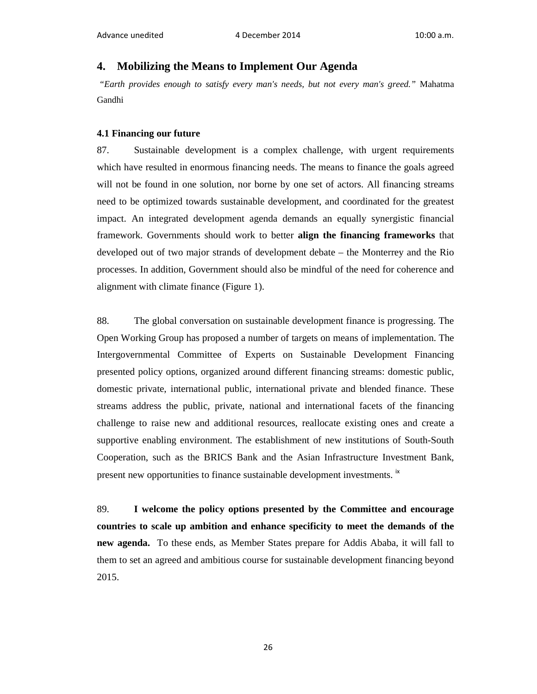# **4. Mobilizing the Means to Implement Our Agenda**

 *"Earth provides enough to satisfy every man's needs, but not every man's greed."* Mahatma Gandhi

### **4.1 Financing our future**

87. Sustainable development is a complex challenge, with urgent requirements which have resulted in enormous financing needs. The means to finance the goals agreed will not be found in one solution, nor borne by one set of actors. All financing streams need to be optimized towards sustainable development, and coordinated for the greatest impact. An integrated development agenda demands an equally synergistic financial framework. Governments should work to better **align the financing frameworks** that developed out of two major strands of development debate – the Monterrey and the Rio processes. In addition, Government should also be mindful of the need for coherence and alignment with climate finance (Figure 1).

88. The global conversation on sustainable development finance is progressing. The Open Working Group has proposed a number of targets on means of implementation. The Intergovernmental Committee of Experts on Sustainable Development Financing presented policy options, organized around different financing streams: domestic public, domestic private, international public, international private and blended finance. These streams address the public, private, national and international facets of the financing challenge to raise new and additional resources, reallocate existing ones and create a supportive enabling environment. The establishment of new institutions of South-South Cooperation, such as the BRICS Bank and the Asian Infrastructure Investment Bank, present new opportunities to finance sustainable development investments. <sup>ix</sup>

89. **I welcome the policy options presented by the Committee and encourage countries to scale up ambition and enhance specificity to meet the demands of the new agenda.** To these ends, as Member States prepare for Addis Ababa, it will fall to them to set an agreed and ambitious course for sustainable development financing beyond 2015.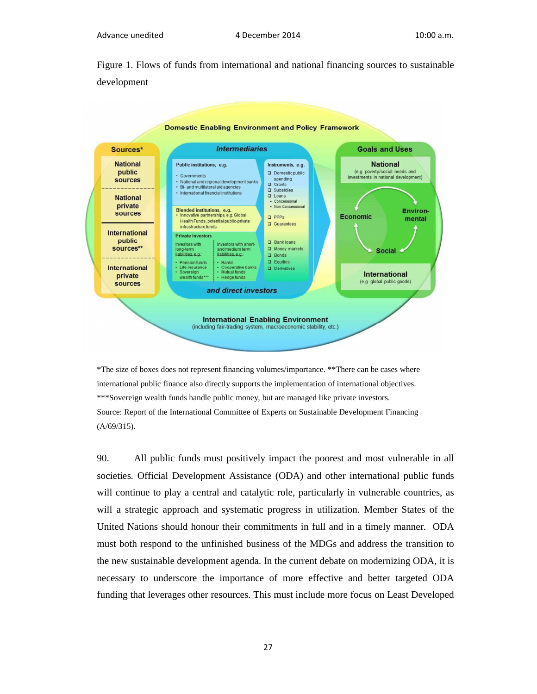Figure 1. Flows of funds from international and national financing sources to sustainable development



\*The size of boxes does not represent financing volumes/importance. \*\*There can be cases where international public finance also directly supports the implementation of international objectives. \*\*\*Sovereign wealth funds handle public money, but are managed like private investors. Source: Report of the International Committee of Experts on Sustainable Development Financing (A/69/315).

90. All public funds must positively impact the poorest and most vulnerable in all societies. Official Development Assistance (ODA) and other international public funds will continue to play a central and catalytic role, particularly in vulnerable countries, as will a strategic approach and systematic progress in utilization. Member States of the United Nations should honour their commitments in full and in a timely manner. ODA must both respond to the unfinished business of the MDGs and address the transition to the new sustainable development agenda. In the current debate on modernizing ODA, it is necessary to underscore the importance of more effective and better targeted ODA funding that leverages other resources. This must include more focus on Least Developed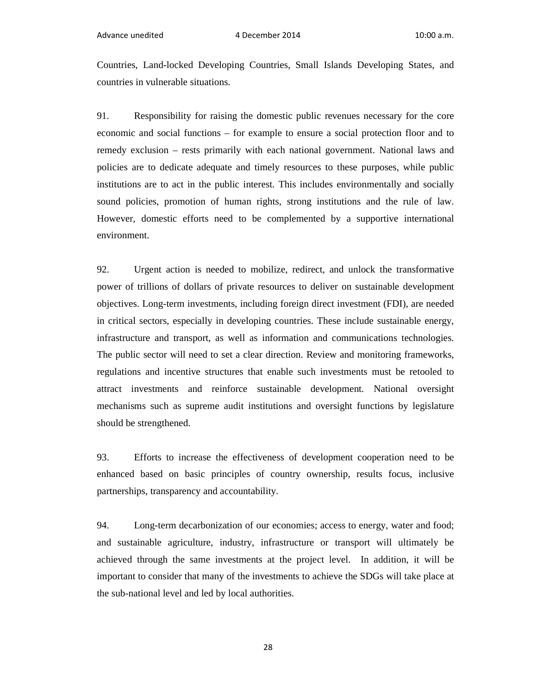Countries, Land-locked Developing Countries, Small Islands Developing States, and countries in vulnerable situations.

91. Responsibility for raising the domestic public revenues necessary for the core economic and social functions – for example to ensure a social protection floor and to remedy exclusion – rests primarily with each national government. National laws and policies are to dedicate adequate and timely resources to these purposes, while public institutions are to act in the public interest. This includes environmentally and socially sound policies, promotion of human rights, strong institutions and the rule of law. However, domestic efforts need to be complemented by a supportive international environment.

92. Urgent action is needed to mobilize, redirect, and unlock the transformative power of trillions of dollars of private resources to deliver on sustainable development objectives. Long-term investments, including foreign direct investment (FDI), are needed in critical sectors, especially in developing countries. These include sustainable energy, infrastructure and transport, as well as information and communications technologies. The public sector will need to set a clear direction. Review and monitoring frameworks, regulations and incentive structures that enable such investments must be retooled to attract investments and reinforce sustainable development. National oversight mechanisms such as supreme audit institutions and oversight functions by legislature should be strengthened.

93. Efforts to increase the effectiveness of development cooperation need to be enhanced based on basic principles of country ownership, results focus, inclusive partnerships, transparency and accountability.

94. Long-term decarbonization of our economies; access to energy, water and food; and sustainable agriculture, industry, infrastructure or transport will ultimately be achieved through the same investments at the project level. In addition, it will be important to consider that many of the investments to achieve the SDGs will take place at the sub-national level and led by local authorities.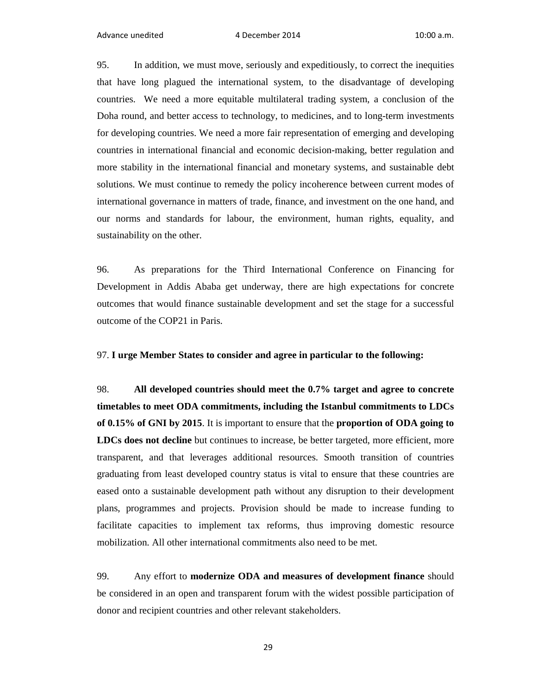95. In addition, we must move, seriously and expeditiously, to correct the inequities that have long plagued the international system, to the disadvantage of developing countries. We need a more equitable multilateral trading system, a conclusion of the Doha round, and better access to technology, to medicines, and to long-term investments for developing countries. We need a more fair representation of emerging and developing countries in international financial and economic decision-making, better regulation and more stability in the international financial and monetary systems, and sustainable debt solutions. We must continue to remedy the policy incoherence between current modes of international governance in matters of trade, finance, and investment on the one hand, and our norms and standards for labour, the environment, human rights, equality, and sustainability on the other.

96. As preparations for the Third International Conference on Financing for Development in Addis Ababa get underway, there are high expectations for concrete outcomes that would finance sustainable development and set the stage for a successful outcome of the COP21 in Paris.

### 97. **I urge Member States to consider and agree in particular to the following:**

98. **All developed countries should meet the 0.7% target and agree to concrete timetables to meet ODA commitments, including the Istanbul commitments to LDCs of 0.15% of GNI by 2015**. It is important to ensure that the **proportion of ODA going to LDCs does not decline** but continues to increase, be better targeted, more efficient, more transparent, and that leverages additional resources. Smooth transition of countries graduating from least developed country status is vital to ensure that these countries are eased onto a sustainable development path without any disruption to their development plans, programmes and projects. Provision should be made to increase funding to facilitate capacities to implement tax reforms, thus improving domestic resource mobilization. All other international commitments also need to be met.

99. Any effort to **modernize ODA and measures of development finance** should be considered in an open and transparent forum with the widest possible participation of donor and recipient countries and other relevant stakeholders.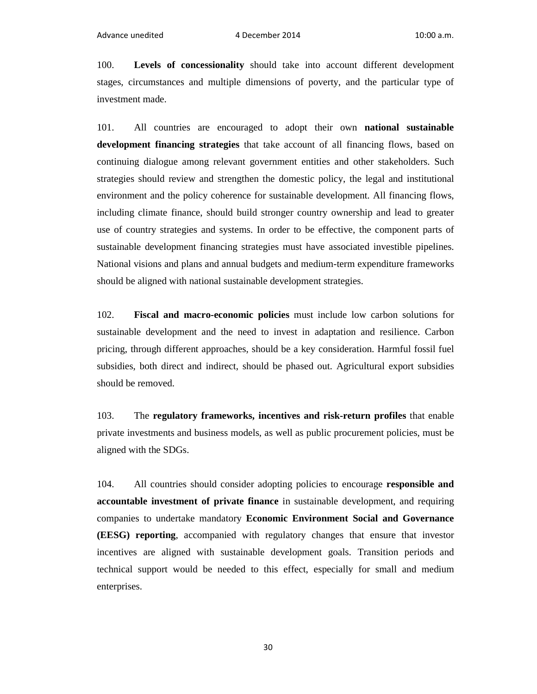100. **Levels of concessionality** should take into account different development stages, circumstances and multiple dimensions of poverty, and the particular type of investment made.

101. All countries are encouraged to adopt their own **national sustainable development financing strategies** that take account of all financing flows, based on continuing dialogue among relevant government entities and other stakeholders. Such strategies should review and strengthen the domestic policy, the legal and institutional environment and the policy coherence for sustainable development. All financing flows, including climate finance, should build stronger country ownership and lead to greater use of country strategies and systems. In order to be effective, the component parts of sustainable development financing strategies must have associated investible pipelines. National visions and plans and annual budgets and medium-term expenditure frameworks should be aligned with national sustainable development strategies.

102. **Fiscal and macro-economic policies** must include low carbon solutions for sustainable development and the need to invest in adaptation and resilience. Carbon pricing, through different approaches, should be a key consideration. Harmful fossil fuel subsidies, both direct and indirect, should be phased out. Agricultural export subsidies should be removed.

103. The **regulatory frameworks, incentives and risk-return profiles** that enable private investments and business models, as well as public procurement policies, must be aligned with the SDGs.

104. All countries should consider adopting policies to encourage **responsible and accountable investment of private finance** in sustainable development, and requiring companies to undertake mandatory **Economic Environment Social and Governance (EESG) reporting**, accompanied with regulatory changes that ensure that investor incentives are aligned with sustainable development goals. Transition periods and technical support would be needed to this effect, especially for small and medium enterprises.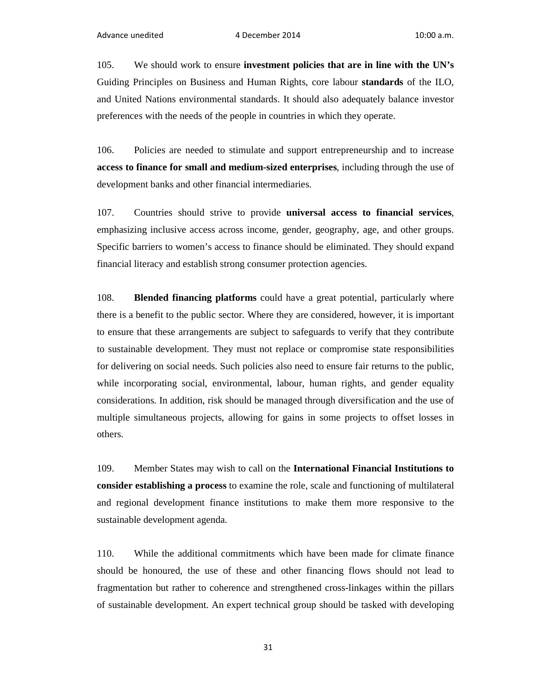105. We should work to ensure **investment policies that are in line with the UN's** Guiding Principles on Business and Human Rights, core labour **standards** of the ILO, and United Nations environmental standards. It should also adequately balance investor preferences with the needs of the people in countries in which they operate.

106. Policies are needed to stimulate and support entrepreneurship and to increase **access to finance for small and medium-sized enterprises**, including through the use of development banks and other financial intermediaries.

107. Countries should strive to provide **universal access to financial services**, emphasizing inclusive access across income, gender, geography, age, and other groups. Specific barriers to women's access to finance should be eliminated. They should expand financial literacy and establish strong consumer protection agencies.

108. **Blended financing platforms** could have a great potential, particularly where there is a benefit to the public sector. Where they are considered, however, it is important to ensure that these arrangements are subject to safeguards to verify that they contribute to sustainable development. They must not replace or compromise state responsibilities for delivering on social needs. Such policies also need to ensure fair returns to the public, while incorporating social, environmental, labour, human rights, and gender equality considerations. In addition, risk should be managed through diversification and the use of multiple simultaneous projects, allowing for gains in some projects to offset losses in others.

109. Member States may wish to call on the **International Financial Institutions to consider establishing a process** to examine the role, scale and functioning of multilateral and regional development finance institutions to make them more responsive to the sustainable development agenda.

110. While the additional commitments which have been made for climate finance should be honoured, the use of these and other financing flows should not lead to fragmentation but rather to coherence and strengthened cross-linkages within the pillars of sustainable development. An expert technical group should be tasked with developing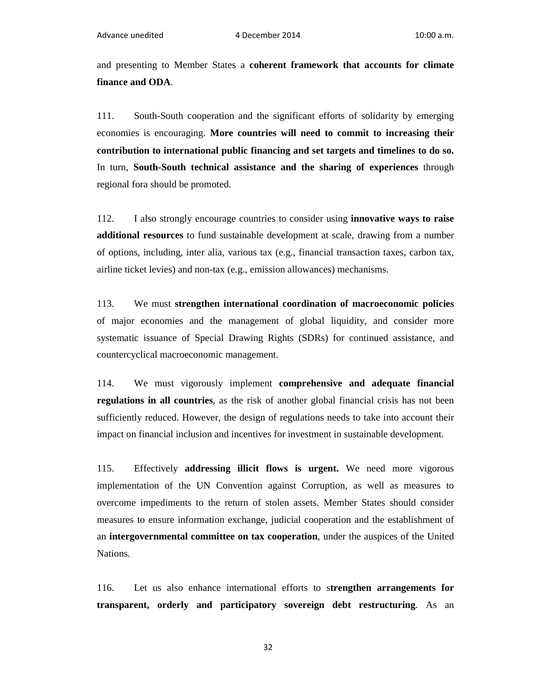and presenting to Member States a **coherent framework that accounts for climate finance and ODA**.

111. South-South cooperation and the significant efforts of solidarity by emerging economies is encouraging. **More countries will need to commit to increasing their contribution to international public financing and set targets and timelines to do so.** In turn, **South-South technical assistance and the sharing of experiences** through regional fora should be promoted.

112. I also strongly encourage countries to consider using **innovative ways to raise additional resources** to fund sustainable development at scale, drawing from a number of options, including, inter alia, various tax (e.g., financial transaction taxes, carbon tax, airline ticket levies) and non-tax (e.g., emission allowances) mechanisms.

113. We must **strengthen international coordination of macroeconomic policies** of major economies and the management of global liquidity, and consider more systematic issuance of Special Drawing Rights (SDRs) for continued assistance, and countercyclical macroeconomic management.

114. We must vigorously implement **comprehensive and adequate financial regulations in all countries**, as the risk of another global financial crisis has not been sufficiently reduced. However, the design of regulations needs to take into account their impact on financial inclusion and incentives for investment in sustainable development.

115. Effectively **addressing illicit flows is urgent.** We need more vigorous implementation of the UN Convention against Corruption, as well as measures to overcome impediments to the return of stolen assets. Member States should consider measures to ensure information exchange, judicial cooperation and the establishment of an **intergovernmental committee on tax cooperation**, under the auspices of the United Nations.

116. Let us also enhance international efforts to s**trengthen arrangements for transparent, orderly and participatory sovereign debt restructuring**. As an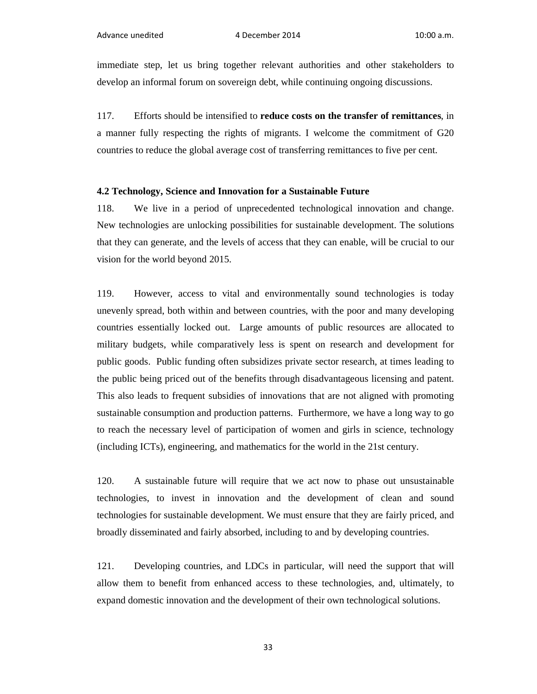immediate step, let us bring together relevant authorities and other stakeholders to develop an informal forum on sovereign debt, while continuing ongoing discussions.

117. Efforts should be intensified to **reduce costs on the transfer of remittances**, in a manner fully respecting the rights of migrants. I welcome the commitment of G20 countries to reduce the global average cost of transferring remittances to five per cent.

#### **4.2 Technology, Science and Innovation for a Sustainable Future**

118. We live in a period of unprecedented technological innovation and change. New technologies are unlocking possibilities for sustainable development. The solutions that they can generate, and the levels of access that they can enable, will be crucial to our vision for the world beyond 2015.

119. However, access to vital and environmentally sound technologies is today unevenly spread, both within and between countries, with the poor and many developing countries essentially locked out. Large amounts of public resources are allocated to military budgets, while comparatively less is spent on research and development for public goods. Public funding often subsidizes private sector research, at times leading to the public being priced out of the benefits through disadvantageous licensing and patent. This also leads to frequent subsidies of innovations that are not aligned with promoting sustainable consumption and production patterns. Furthermore, we have a long way to go to reach the necessary level of participation of women and girls in science, technology (including ICTs), engineering, and mathematics for the world in the 21st century.

120. A sustainable future will require that we act now to phase out unsustainable technologies, to invest in innovation and the development of clean and sound technologies for sustainable development. We must ensure that they are fairly priced, and broadly disseminated and fairly absorbed, including to and by developing countries.

121. Developing countries, and LDCs in particular, will need the support that will allow them to benefit from enhanced access to these technologies, and, ultimately, to expand domestic innovation and the development of their own technological solutions.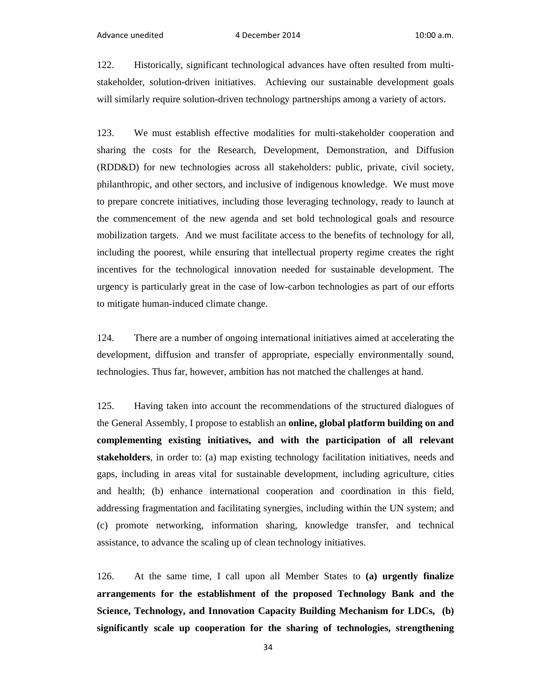122. Historically, significant technological advances have often resulted from multistakeholder, solution-driven initiatives. Achieving our sustainable development goals will similarly require solution-driven technology partnerships among a variety of actors.

123. We must establish effective modalities for multi-stakeholder cooperation and sharing the costs for the Research, Development, Demonstration, and Diffusion (RDD&D) for new technologies across all stakeholders: public, private, civil society, philanthropic, and other sectors, and inclusive of indigenous knowledge. We must move to prepare concrete initiatives, including those leveraging technology, ready to launch at the commencement of the new agenda and set bold technological goals and resource mobilization targets. And we must facilitate access to the benefits of technology for all, including the poorest, while ensuring that intellectual property regime creates the right incentives for the technological innovation needed for sustainable development. The urgency is particularly great in the case of low-carbon technologies as part of our efforts to mitigate human-induced climate change.

124. There are a number of ongoing international initiatives aimed at accelerating the development, diffusion and transfer of appropriate, especially environmentally sound, technologies. Thus far, however, ambition has not matched the challenges at hand.

125. Having taken into account the recommendations of the structured dialogues of the General Assembly, I propose to establish an **online, global platform building on and complementing existing initiatives, and with the participation of all relevant stakeholders**, in order to: (a) map existing technology facilitation initiatives, needs and gaps, including in areas vital for sustainable development, including agriculture, cities and health; (b) enhance international cooperation and coordination in this field, addressing fragmentation and facilitating synergies, including within the UN system; and (c) promote networking, information sharing, knowledge transfer, and technical assistance, to advance the scaling up of clean technology initiatives.

126. At the same time, I call upon all Member States to **(a) urgently finalize arrangements for the establishment of the proposed Technology Bank and the Science, Technology, and Innovation Capacity Building Mechanism for LDCs, (b) significantly scale up cooperation for the sharing of technologies, strengthening**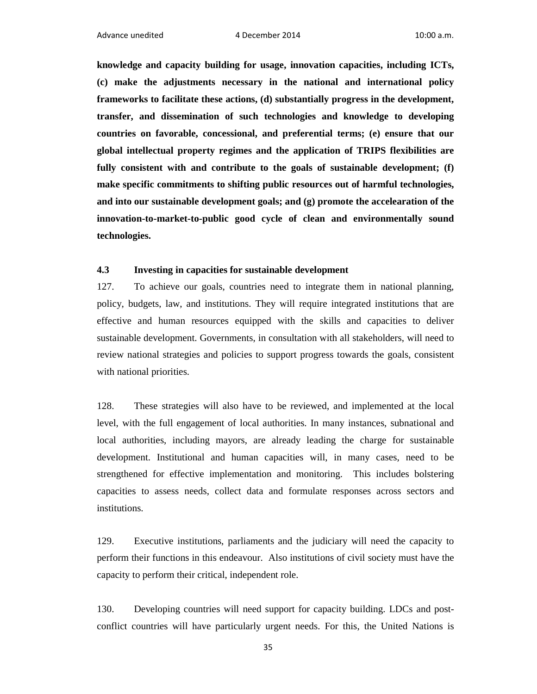**knowledge and capacity building for usage, innovation capacities, including ICTs, (c) make the adjustments necessary in the national and international policy frameworks to facilitate these actions, (d) substantially progress in the development, transfer, and dissemination of such technologies and knowledge to developing countries on favorable, concessional, and preferential terms; (e) ensure that our global intellectual property regimes and the application of TRIPS flexibilities are fully consistent with and contribute to the goals of sustainable development; (f) make specific commitments to shifting public resources out of harmful technologies, and into our sustainable development goals; and (g) promote the accelearation of the innovation-to-market-to-public good cycle of clean and environmentally sound technologies.** 

## **4.3 Investing in capacities for sustainable development**

127. To achieve our goals, countries need to integrate them in national planning, policy, budgets, law, and institutions. They will require integrated institutions that are effective and human resources equipped with the skills and capacities to deliver sustainable development. Governments, in consultation with all stakeholders, will need to review national strategies and policies to support progress towards the goals, consistent with national priorities.

128. These strategies will also have to be reviewed, and implemented at the local level, with the full engagement of local authorities. In many instances, subnational and local authorities, including mayors, are already leading the charge for sustainable development. Institutional and human capacities will, in many cases, need to be strengthened for effective implementation and monitoring. This includes bolstering capacities to assess needs, collect data and formulate responses across sectors and institutions.

129. Executive institutions, parliaments and the judiciary will need the capacity to perform their functions in this endeavour. Also institutions of civil society must have the capacity to perform their critical, independent role.

130. Developing countries will need support for capacity building. LDCs and postconflict countries will have particularly urgent needs. For this, the United Nations is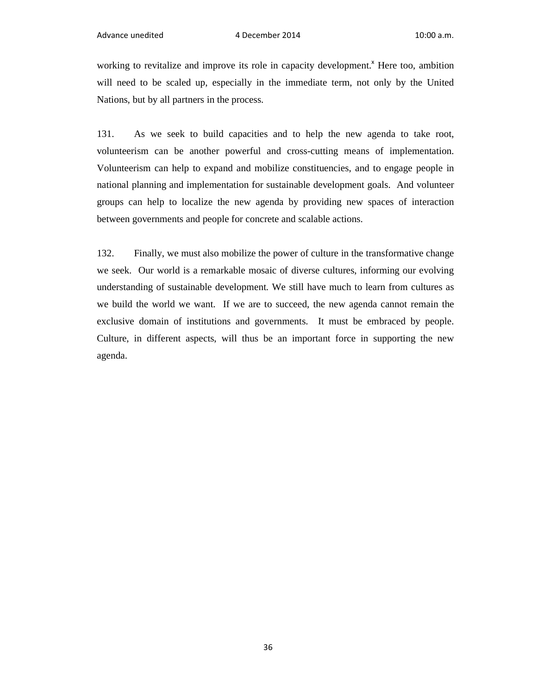working to revitalize and improve its role in capacity development.<sup>x</sup> Here too, ambition will need to be scaled up, especially in the immediate term, not only by the United Nations, but by all partners in the process.

131. As we seek to build capacities and to help the new agenda to take root, volunteerism can be another powerful and cross-cutting means of implementation. Volunteerism can help to expand and mobilize constituencies, and to engage people in national planning and implementation for sustainable development goals. And volunteer groups can help to localize the new agenda by providing new spaces of interaction between governments and people for concrete and scalable actions.

132. Finally, we must also mobilize the power of culture in the transformative change we seek. Our world is a remarkable mosaic of diverse cultures, informing our evolving understanding of sustainable development. We still have much to learn from cultures as we build the world we want. If we are to succeed, the new agenda cannot remain the exclusive domain of institutions and governments. It must be embraced by people. Culture, in different aspects, will thus be an important force in supporting the new agenda.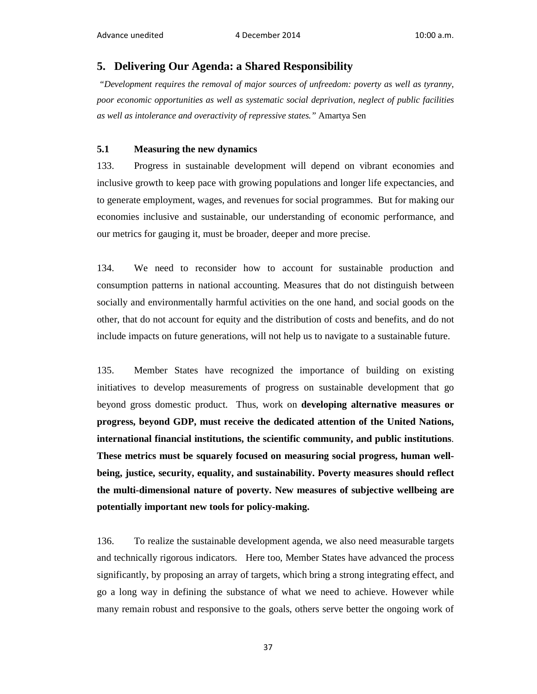# **5. Delivering Our Agenda: a Shared Responsibility**

 *"Development requires the removal of major sources of unfreedom: poverty as well as tyranny, poor economic opportunities as well as systematic social deprivation, neglect of public facilities as well as intolerance and overactivity of repressive states."* Amartya Sen

## **5.1 Measuring the new dynamics**

133. Progress in sustainable development will depend on vibrant economies and inclusive growth to keep pace with growing populations and longer life expectancies, and to generate employment, wages, and revenues for social programmes. But for making our economies inclusive and sustainable, our understanding of economic performance, and our metrics for gauging it, must be broader, deeper and more precise.

134. We need to reconsider how to account for sustainable production and consumption patterns in national accounting. Measures that do not distinguish between socially and environmentally harmful activities on the one hand, and social goods on the other, that do not account for equity and the distribution of costs and benefits, and do not include impacts on future generations, will not help us to navigate to a sustainable future.

135. Member States have recognized the importance of building on existing initiatives to develop measurements of progress on sustainable development that go beyond gross domestic product. Thus, work on **developing alternative measures or progress, beyond GDP, must receive the dedicated attention of the United Nations, international financial institutions, the scientific community, and public institutions**. **These metrics must be squarely focused on measuring social progress, human wellbeing, justice, security, equality, and sustainability. Poverty measures should reflect the multi-dimensional nature of poverty. New measures of subjective wellbeing are potentially important new tools for policy-making.**

136. To realize the sustainable development agenda, we also need measurable targets and technically rigorous indicators. Here too, Member States have advanced the process significantly, by proposing an array of targets, which bring a strong integrating effect, and go a long way in defining the substance of what we need to achieve. However while many remain robust and responsive to the goals, others serve better the ongoing work of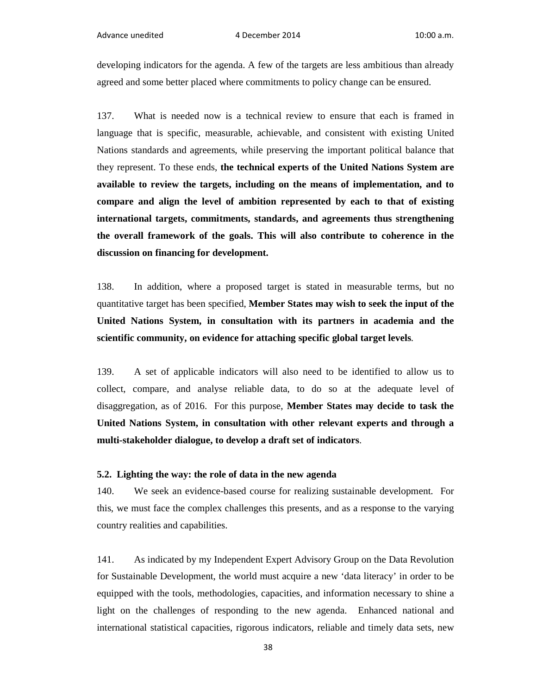developing indicators for the agenda. A few of the targets are less ambitious than already agreed and some better placed where commitments to policy change can be ensured.

137. What is needed now is a technical review to ensure that each is framed in language that is specific, measurable, achievable, and consistent with existing United Nations standards and agreements, while preserving the important political balance that they represent. To these ends, **the technical experts of the United Nations System are available to review the targets, including on the means of implementation, and to compare and align the level of ambition represented by each to that of existing international targets, commitments, standards, and agreements thus strengthening the overall framework of the goals. This will also contribute to coherence in the discussion on financing for development.** 

138. In addition, where a proposed target is stated in measurable terms, but no quantitative target has been specified, **Member States may wish to seek the input of the United Nations System, in consultation with its partners in academia and the scientific community, on evidence for attaching specific global target levels**.

139. A set of applicable indicators will also need to be identified to allow us to collect, compare, and analyse reliable data, to do so at the adequate level of disaggregation, as of 2016. For this purpose, **Member States may decide to task the United Nations System, in consultation with other relevant experts and through a multi-stakeholder dialogue, to develop a draft set of indicators**.

### **5.2. Lighting the way: the role of data in the new agenda**

140. We seek an evidence-based course for realizing sustainable development. For this, we must face the complex challenges this presents, and as a response to the varying country realities and capabilities.

141. As indicated by my Independent Expert Advisory Group on the Data Revolution for Sustainable Development, the world must acquire a new 'data literacy' in order to be equipped with the tools, methodologies, capacities, and information necessary to shine a light on the challenges of responding to the new agenda. Enhanced national and international statistical capacities, rigorous indicators, reliable and timely data sets, new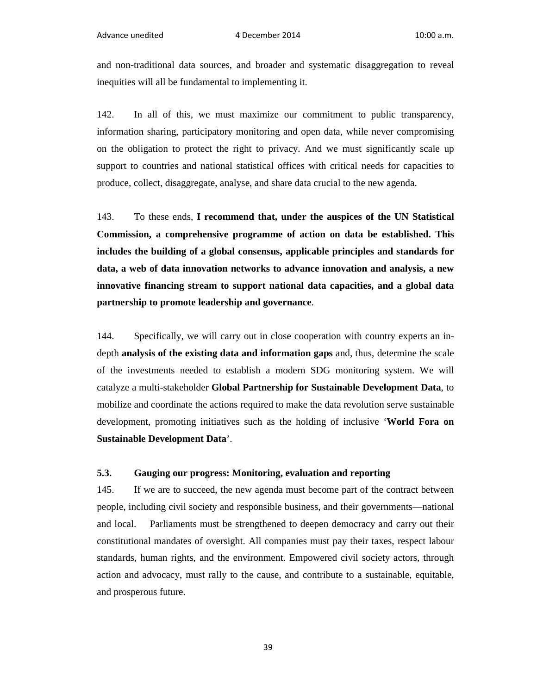and non-traditional data sources, and broader and systematic disaggregation to reveal inequities will all be fundamental to implementing it.

142. In all of this, we must maximize our commitment to public transparency, information sharing, participatory monitoring and open data, while never compromising on the obligation to protect the right to privacy. And we must significantly scale up support to countries and national statistical offices with critical needs for capacities to produce, collect, disaggregate, analyse, and share data crucial to the new agenda.

143. To these ends, **I recommend that, under the auspices of the UN Statistical Commission, a comprehensive programme of action on data be established. This includes the building of a global consensus, applicable principles and standards for data, a web of data innovation networks to advance innovation and analysis, a new innovative financing stream to support national data capacities, and a global data partnership to promote leadership and governance**.

144. Specifically, we will carry out in close cooperation with country experts an indepth **analysis of the existing data and information gaps** and, thus, determine the scale of the investments needed to establish a modern SDG monitoring system. We will catalyze a multi-stakeholder **Global Partnership for Sustainable Development Data**, to mobilize and coordinate the actions required to make the data revolution serve sustainable development, promoting initiatives such as the holding of inclusive '**World Fora on Sustainable Development Data**'.

## **5.3. Gauging our progress: Monitoring, evaluation and reporting**

145. If we are to succeed, the new agenda must become part of the contract between people, including civil society and responsible business, and their governments—national and local. Parliaments must be strengthened to deepen democracy and carry out their constitutional mandates of oversight. All companies must pay their taxes, respect labour standards, human rights, and the environment. Empowered civil society actors, through action and advocacy, must rally to the cause, and contribute to a sustainable, equitable, and prosperous future.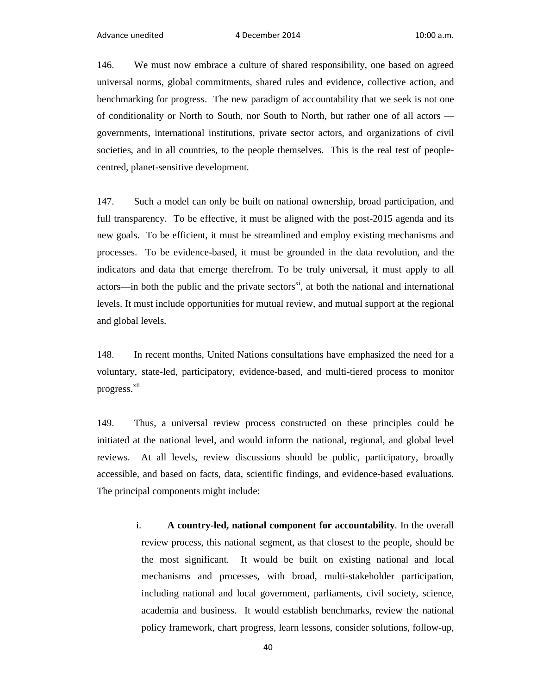146. We must now embrace a culture of shared responsibility, one based on agreed universal norms, global commitments, shared rules and evidence, collective action, and benchmarking for progress. The new paradigm of accountability that we seek is not one of conditionality or North to South, nor South to North, but rather one of all actors governments, international institutions, private sector actors, and organizations of civil societies, and in all countries, to the people themselves. This is the real test of peoplecentred, planet-sensitive development.

147. Such a model can only be built on national ownership, broad participation, and full transparency. To be effective, it must be aligned with the post-2015 agenda and its new goals. To be efficient, it must be streamlined and employ existing mechanisms and processes. To be evidence-based, it must be grounded in the data revolution, and the indicators and data that emerge therefrom. To be truly universal, it must apply to all actors—in both the public and the private sectors<sup>xi</sup>, at both the national and international levels. It must include opportunities for mutual review, and mutual support at the regional and global levels.

148. In recent months, United Nations consultations have emphasized the need for a voluntary, state-led, participatory, evidence-based, and multi-tiered process to monitor progress.<sup>xii</sup>

149. Thus, a universal review process constructed on these principles could be initiated at the national level, and would inform the national, regional, and global level reviews. At all levels, review discussions should be public, participatory, broadly accessible, and based on facts, data, scientific findings, and evidence-based evaluations. The principal components might include:

> i. **A country-led, national component for accountability**. In the overall review process, this national segment, as that closest to the people, should be the most significant. It would be built on existing national and local mechanisms and processes, with broad, multi-stakeholder participation, including national and local government, parliaments, civil society, science, academia and business. It would establish benchmarks, review the national policy framework, chart progress, learn lessons, consider solutions, follow-up,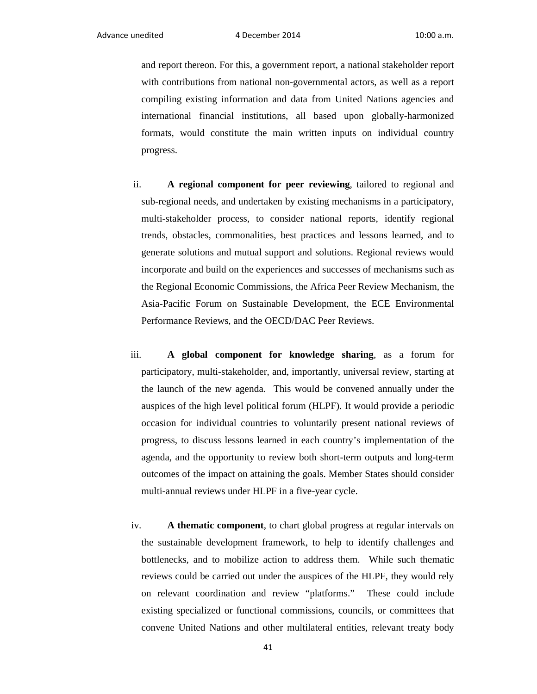and report thereon. For this, a government report, a national stakeholder report with contributions from national non-governmental actors, as well as a report compiling existing information and data from United Nations agencies and international financial institutions, all based upon globally-harmonized formats, would constitute the main written inputs on individual country progress.

- ii. **A regional component for peer reviewing**, tailored to regional and sub-regional needs, and undertaken by existing mechanisms in a participatory, multi-stakeholder process, to consider national reports, identify regional trends, obstacles, commonalities, best practices and lessons learned, and to generate solutions and mutual support and solutions. Regional reviews would incorporate and build on the experiences and successes of mechanisms such as the Regional Economic Commissions, the Africa Peer Review Mechanism, the Asia-Pacific Forum on Sustainable Development, the ECE Environmental Performance Reviews, and the OECD/DAC Peer Reviews.
- iii. **A global component for knowledge sharing**, as a forum for participatory, multi-stakeholder, and, importantly, universal review, starting at the launch of the new agenda. This would be convened annually under the auspices of the high level political forum (HLPF). It would provide a periodic occasion for individual countries to voluntarily present national reviews of progress, to discuss lessons learned in each country's implementation of the agenda, and the opportunity to review both short-term outputs and long-term outcomes of the impact on attaining the goals. Member States should consider multi-annual reviews under HLPF in a five-year cycle.
- iv. **A thematic component**, to chart global progress at regular intervals on the sustainable development framework, to help to identify challenges and bottlenecks, and to mobilize action to address them. While such thematic reviews could be carried out under the auspices of the HLPF, they would rely on relevant coordination and review "platforms." These could include existing specialized or functional commissions, councils, or committees that convene United Nations and other multilateral entities, relevant treaty body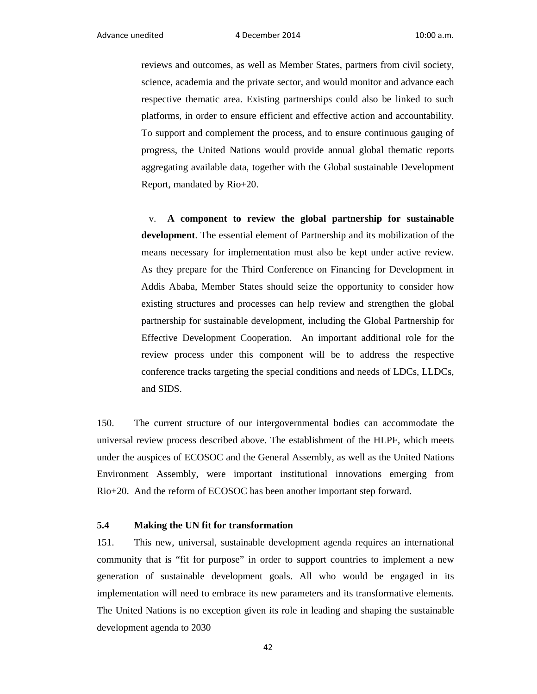reviews and outcomes, as well as Member States, partners from civil society, science, academia and the private sector, and would monitor and advance each respective thematic area. Existing partnerships could also be linked to such platforms, in order to ensure efficient and effective action and accountability. To support and complement the process, and to ensure continuous gauging of progress, the United Nations would provide annual global thematic reports aggregating available data, together with the Global sustainable Development Report, mandated by Rio+20.

v. **A component to review the global partnership for sustainable development**. The essential element of Partnership and its mobilization of the means necessary for implementation must also be kept under active review. As they prepare for the Third Conference on Financing for Development in Addis Ababa, Member States should seize the opportunity to consider how existing structures and processes can help review and strengthen the global partnership for sustainable development, including the Global Partnership for Effective Development Cooperation. An important additional role for the review process under this component will be to address the respective conference tracks targeting the special conditions and needs of LDCs, LLDCs, and SIDS.

150. The current structure of our intergovernmental bodies can accommodate the universal review process described above. The establishment of the HLPF, which meets under the auspices of ECOSOC and the General Assembly, as well as the United Nations Environment Assembly, were important institutional innovations emerging from Rio+20. And the reform of ECOSOC has been another important step forward.

### **5.4 Making the UN fit for transformation**

151. This new, universal, sustainable development agenda requires an international community that is "fit for purpose" in order to support countries to implement a new generation of sustainable development goals. All who would be engaged in its implementation will need to embrace its new parameters and its transformative elements. The United Nations is no exception given its role in leading and shaping the sustainable development agenda to 2030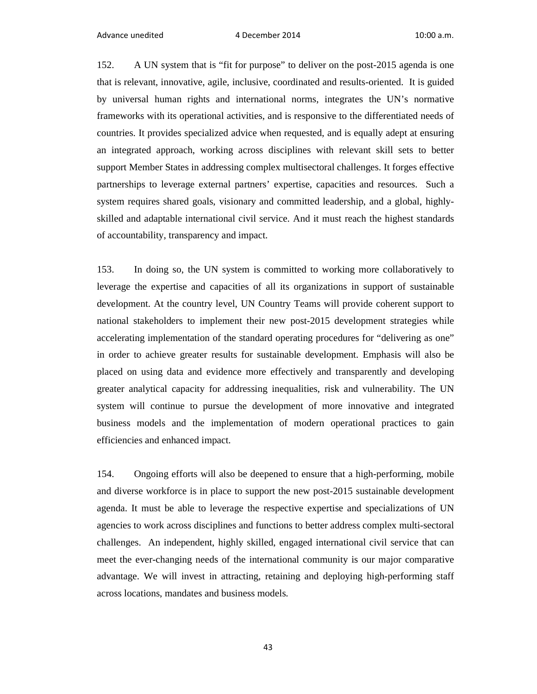Advance unedited a metal and the 4 December 2014 10:00 a.m.

152. A UN system that is "fit for purpose" to deliver on the post-2015 agenda is one that is relevant, innovative, agile, inclusive, coordinated and results-oriented. It is guided by universal human rights and international norms, integrates the UN's normative frameworks with its operational activities, and is responsive to the differentiated needs of countries. It provides specialized advice when requested, and is equally adept at ensuring an integrated approach, working across disciplines with relevant skill sets to better support Member States in addressing complex multisectoral challenges. It forges effective partnerships to leverage external partners' expertise, capacities and resources. Such a system requires shared goals, visionary and committed leadership, and a global, highlyskilled and adaptable international civil service. And it must reach the highest standards of accountability, transparency and impact.

153. In doing so, the UN system is committed to working more collaboratively to leverage the expertise and capacities of all its organizations in support of sustainable development. At the country level, UN Country Teams will provide coherent support to national stakeholders to implement their new post-2015 development strategies while accelerating implementation of the standard operating procedures for "delivering as one" in order to achieve greater results for sustainable development. Emphasis will also be placed on using data and evidence more effectively and transparently and developing greater analytical capacity for addressing inequalities, risk and vulnerability. The UN system will continue to pursue the development of more innovative and integrated business models and the implementation of modern operational practices to gain efficiencies and enhanced impact.

154. Ongoing efforts will also be deepened to ensure that a high-performing, mobile and diverse workforce is in place to support the new post-2015 sustainable development agenda. It must be able to leverage the respective expertise and specializations of UN agencies to work across disciplines and functions to better address complex multi-sectoral challenges. An independent, highly skilled, engaged international civil service that can meet the ever-changing needs of the international community is our major comparative advantage. We will invest in attracting, retaining and deploying high-performing staff across locations, mandates and business models.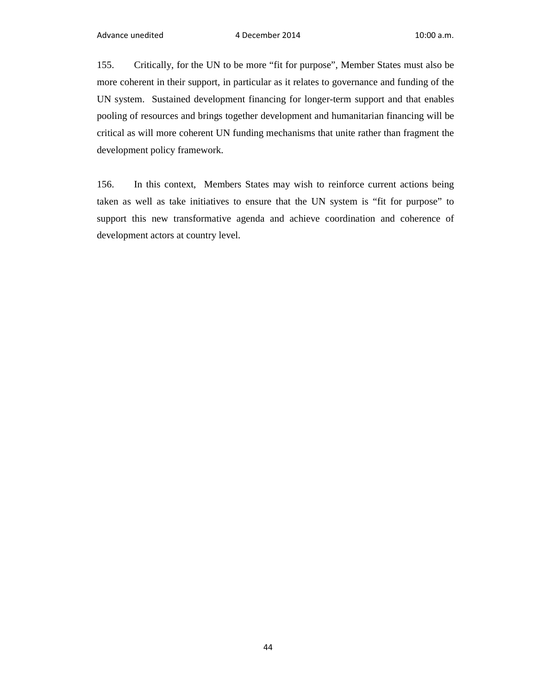155. Critically, for the UN to be more "fit for purpose", Member States must also be more coherent in their support, in particular as it relates to governance and funding of the UN system. Sustained development financing for longer-term support and that enables pooling of resources and brings together development and humanitarian financing will be critical as will more coherent UN funding mechanisms that unite rather than fragment the development policy framework.

156. In this context, Members States may wish to reinforce current actions being taken as well as take initiatives to ensure that the UN system is "fit for purpose" to support this new transformative agenda and achieve coordination and coherence of development actors at country level.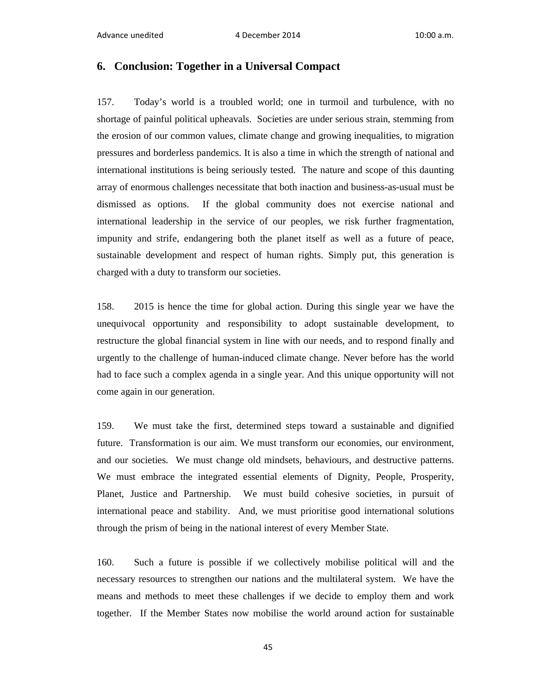## **6. Conclusion: Together in a Universal Compact**

157. Today's world is a troubled world; one in turmoil and turbulence, with no shortage of painful political upheavals. Societies are under serious strain, stemming from the erosion of our common values, climate change and growing inequalities, to migration pressures and borderless pandemics. It is also a time in which the strength of national and international institutions is being seriously tested. The nature and scope of this daunting array of enormous challenges necessitate that both inaction and business-as-usual must be dismissed as options. If the global community does not exercise national and international leadership in the service of our peoples, we risk further fragmentation, impunity and strife, endangering both the planet itself as well as a future of peace, sustainable development and respect of human rights. Simply put, this generation is charged with a duty to transform our societies.

158. 2015 is hence the time for global action. During this single year we have the unequivocal opportunity and responsibility to adopt sustainable development, to restructure the global financial system in line with our needs, and to respond finally and urgently to the challenge of human-induced climate change. Never before has the world had to face such a complex agenda in a single year. And this unique opportunity will not come again in our generation.

159. We must take the first, determined steps toward a sustainable and dignified future. Transformation is our aim. We must transform our economies, our environment, and our societies. We must change old mindsets, behaviours, and destructive patterns. We must embrace the integrated essential elements of Dignity, People, Prosperity, Planet, Justice and Partnership. We must build cohesive societies, in pursuit of international peace and stability. And, we must prioritise good international solutions through the prism of being in the national interest of every Member State.

160. Such a future is possible if we collectively mobilise political will and the necessary resources to strengthen our nations and the multilateral system. We have the means and methods to meet these challenges if we decide to employ them and work together. If the Member States now mobilise the world around action for sustainable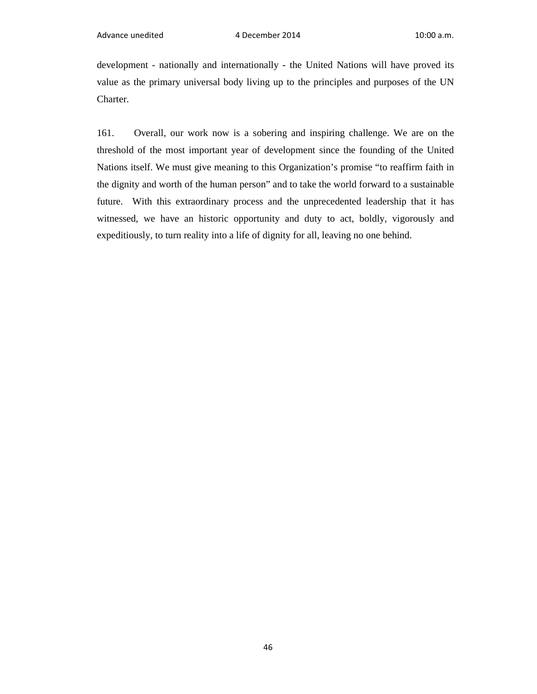development - nationally and internationally - the United Nations will have proved its value as the primary universal body living up to the principles and purposes of the UN Charter.

161. Overall, our work now is a sobering and inspiring challenge. We are on the threshold of the most important year of development since the founding of the United Nations itself. We must give meaning to this Organization's promise "to reaffirm faith in the dignity and worth of the human person" and to take the world forward to a sustainable future. With this extraordinary process and the unprecedented leadership that it has witnessed, we have an historic opportunity and duty to act, boldly, vigorously and expeditiously, to turn reality into a life of dignity for all, leaving no one behind.